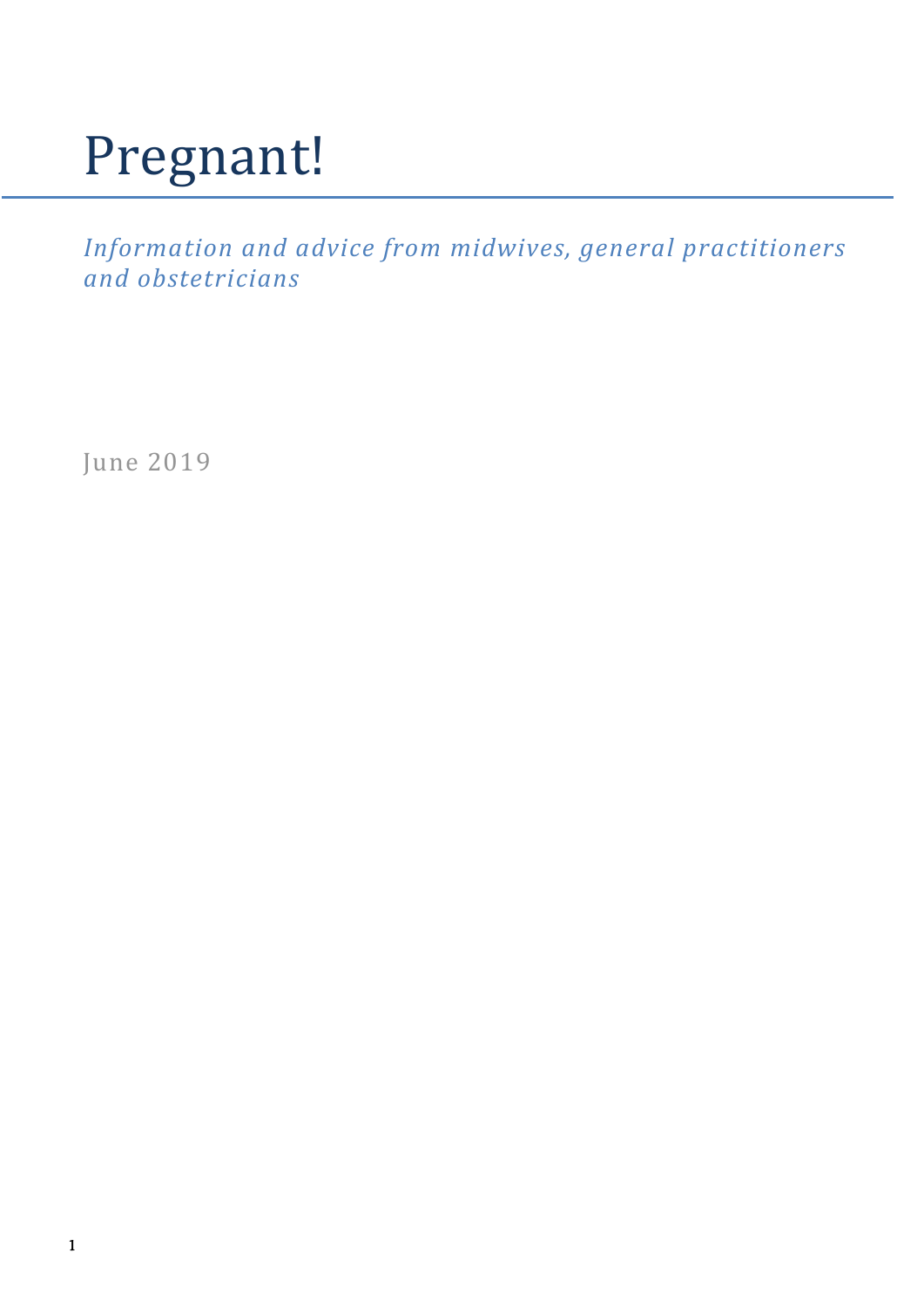### Pregnant!

*Information and advice from midwives, general practitioners and obstetricians*

June 2019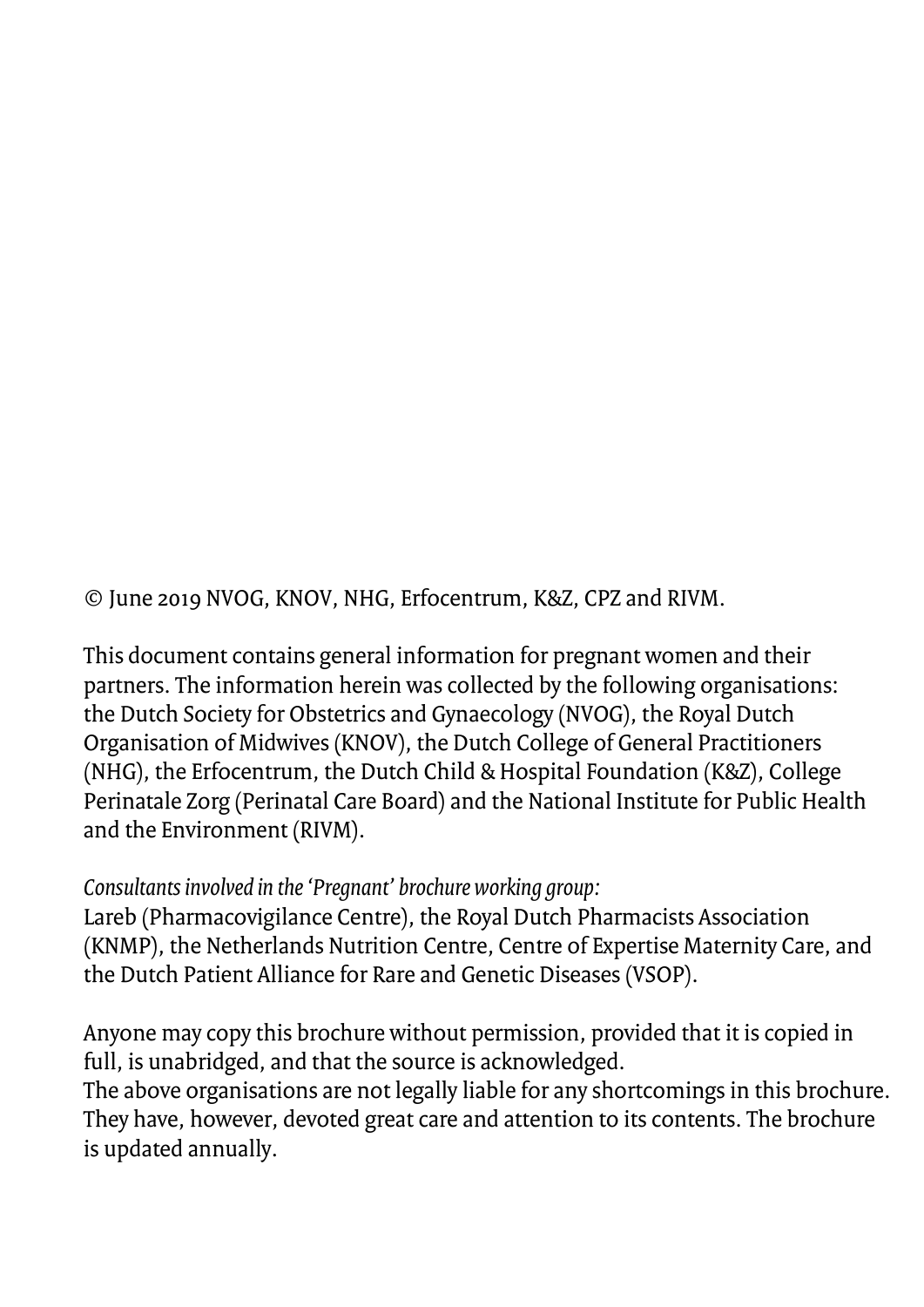© June 2019 NVOG, KNOV, NHG, Erfocentrum, K&Z, CPZ and RIVM.

This document contains general information for pregnant women and their partners. The information herein was collected by the following organisations: the Dutch Society for Obstetrics and Gynaecology (NVOG), the Royal Dutch Organisation of Midwives (KNOV), the Dutch College of General Practitioners (NHG), the Erfocentrum, the Dutch Child & Hospital Foundation (K&Z), College Perinatale Zorg (Perinatal Care Board) and the National Institute for Public Health and the Environment (RIVM).

*Consultants involved in the 'Pregnant' brochure working group:*

Lareb (Pharmacovigilance Centre), the Royal Dutch Pharmacists Association (KNMP), the Netherlands Nutrition Centre, Centre of Expertise Maternity Care, and the Dutch Patient Alliance for Rare and Genetic Diseases (VSOP).

Anyone may copy this brochure without permission, provided that it is copied in full, is unabridged, and that the source is acknowledged. The above organisations are not legally liable for any shortcomings in this brochure. They have, however, devoted great care and attention to its contents. The brochure is updated annually.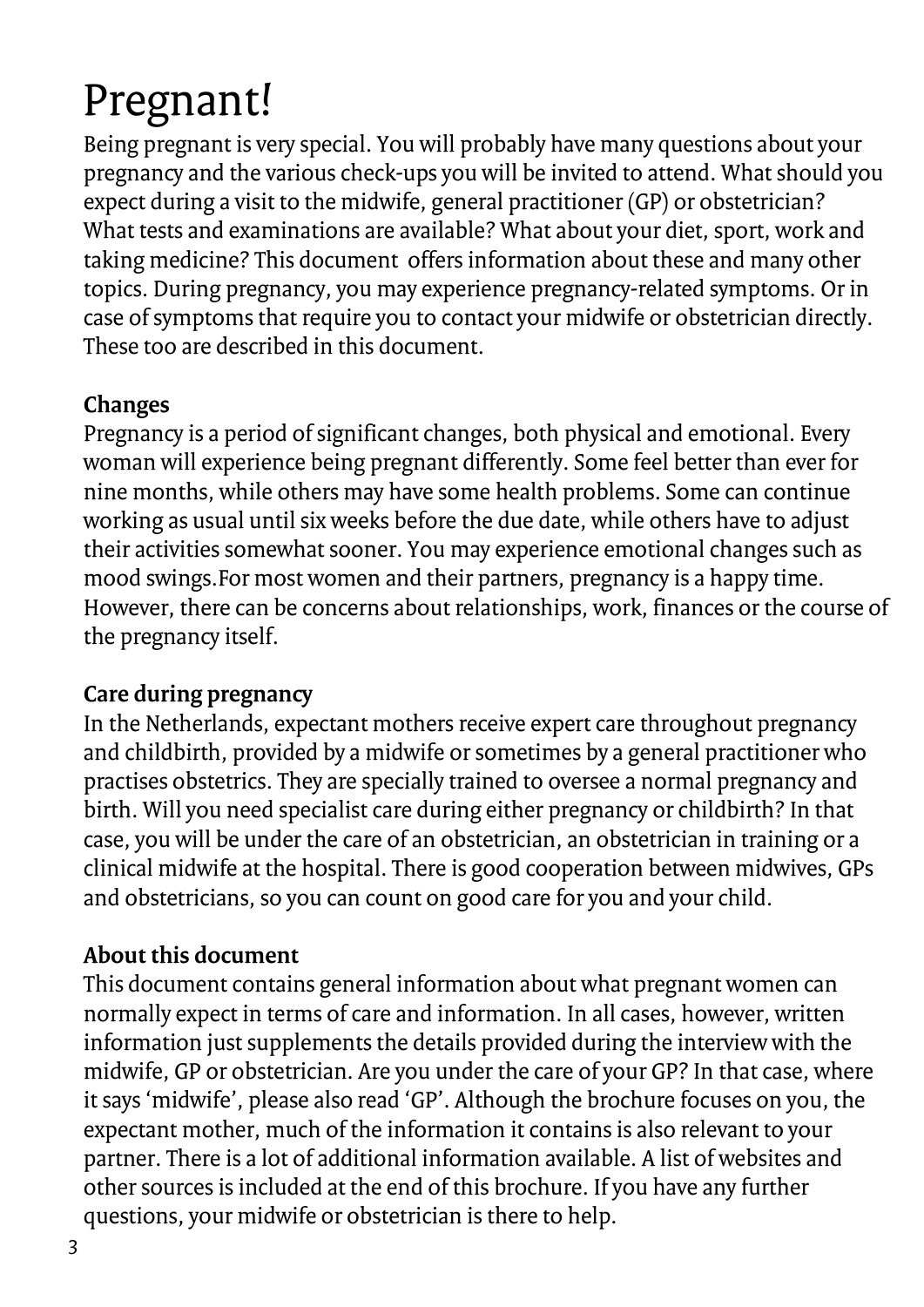### Pregnant!

Being pregnant is very special. You will probably have many questions about your pregnancy and the various check-ups you will be invited to attend. What should you expect during a visit to the midwife, general practitioner (GP) or obstetrician? What tests and examinations are available? What about your diet, sport, work and taking medicine? This document offers information about these and many other topics. During pregnancy, you may experience pregnancy-related symptoms. Or in case of symptoms that require you to contact your midwife or obstetrician directly. These too are described in this document.

### **Changes**

Pregnancy is a period of significant changes, both physical and emotional. Every woman will experience being pregnant differently. Some feel better than ever for nine months, while others may have some health problems. Some can continue working as usual until six weeks before the due date, while others have to adjust their activities somewhat sooner. You may experience emotional changes such as mood swings.For most women and their partners, pregnancy is a happy time. However, there can be concerns about relationships, work, finances or the course of the pregnancy itself.

### **Care during pregnancy**

In the Netherlands, expectant mothers receive expert care throughout pregnancy and childbirth, provided by a midwife or sometimes by a general practitioner who practises obstetrics. They are specially trained to oversee a normal pregnancy and birth. Will you need specialist care during either pregnancy or childbirth? In that case, you will be under the care of an obstetrician, an obstetrician in training or a clinical midwife at the hospital. There is good cooperation between midwives, GPs and obstetricians, so you can count on good care for you and your child.

### **About this document**

This document contains general information about what pregnant women can normally expect in terms of care and information. In all cases, however, written information just supplements the details provided during the interview with the midwife, GP or obstetrician. Are you under the care of your GP? In that case, where it says 'midwife', please also read 'GP'. Although the brochure focuses on you, the expectant mother, much of the information it contains is also relevant to your partner. There is a lot of additional information available. A list of websites and other sources is included at the end of this brochure. If you have any further questions, your midwife or obstetrician is there to help.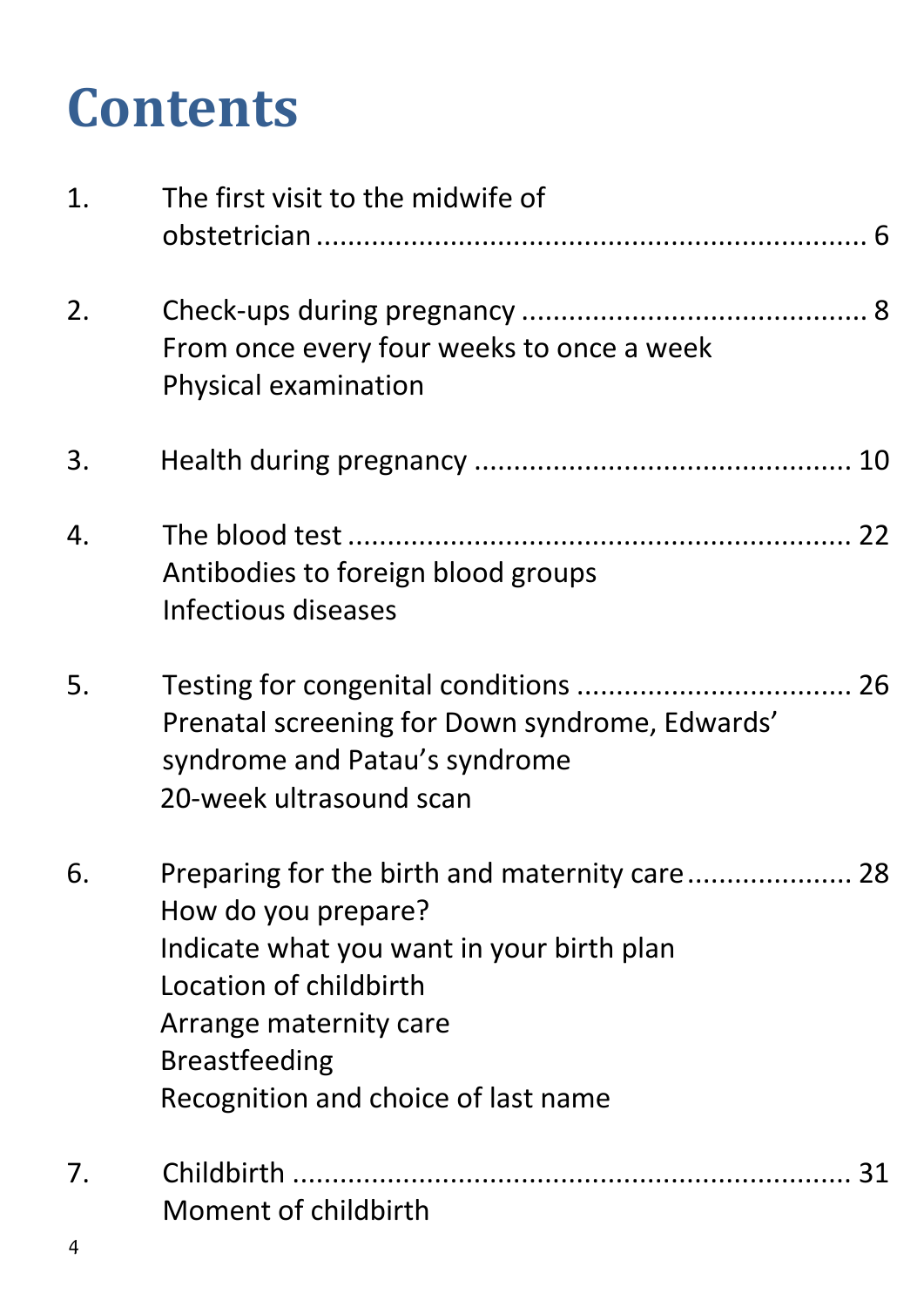### **Contents**

| 1. | The first visit to the midwife of                                                                                                                                                                                                    |
|----|--------------------------------------------------------------------------------------------------------------------------------------------------------------------------------------------------------------------------------------|
| 2. | From once every four weeks to once a week<br>Physical examination                                                                                                                                                                    |
| 3. |                                                                                                                                                                                                                                      |
| 4. | Antibodies to foreign blood groups<br>Infectious diseases                                                                                                                                                                            |
| 5. | Prenatal screening for Down syndrome, Edwards'<br>syndrome and Patau's syndrome<br>20-week ultrasound scan                                                                                                                           |
| 6. | Preparing for the birth and maternity care 28<br>How do you prepare?<br>Indicate what you want in your birth plan<br>Location of childbirth<br>Arrange maternity care<br><b>Breastfeeding</b><br>Recognition and choice of last name |
| 7. | Moment of childbirth                                                                                                                                                                                                                 |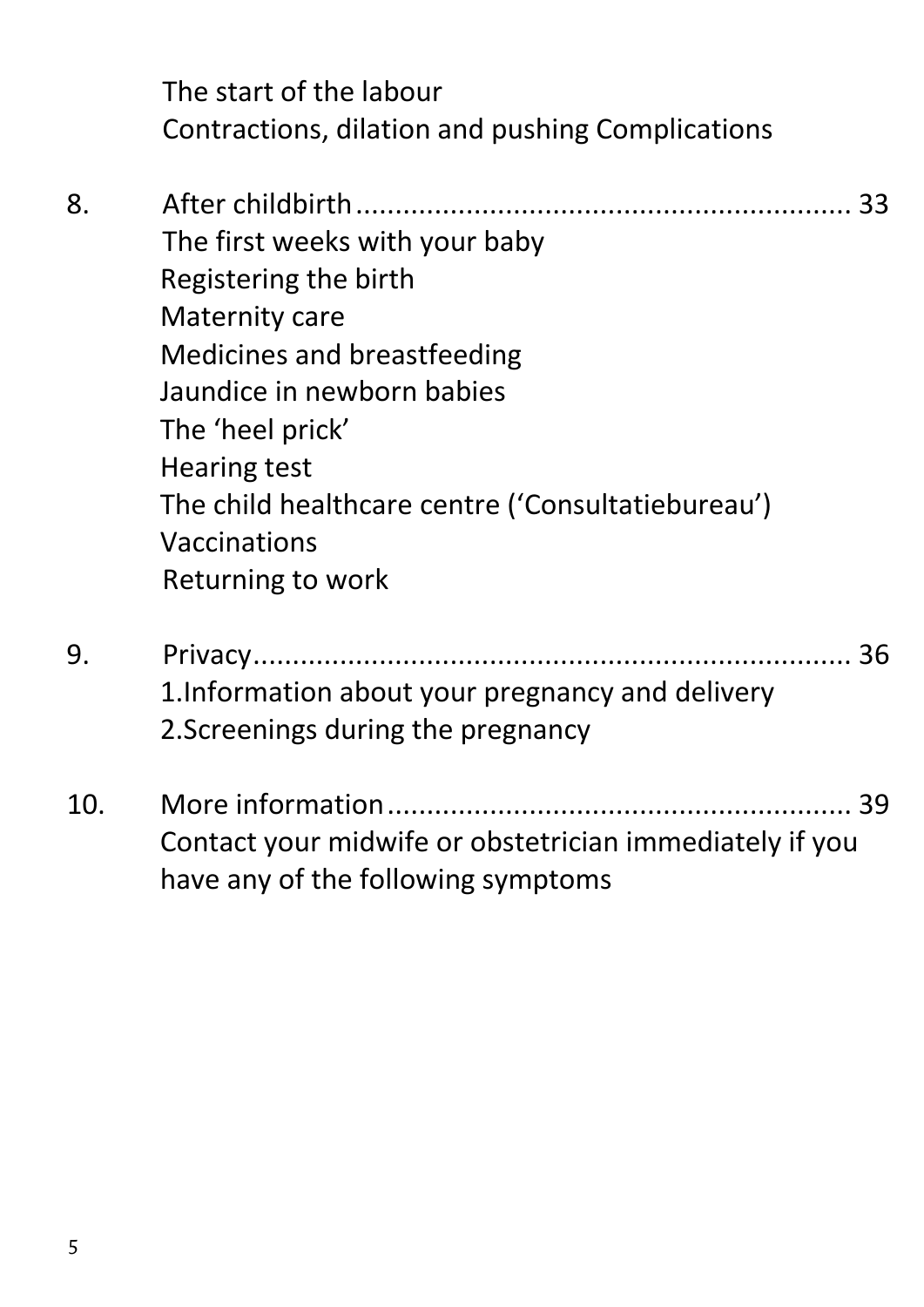The start of the labour Contractions, dilation and pushing Complications

- 8. [After childbirth...............................................................](#page-32-0) 33 The first weeks with your baby Registering the birth Maternity care Medicines and breastfeeding Jaundice in newborn babies The 'heel prick' Hearing test The child healthcare centre ('Consultatiebureau') Vaccinations Returning to work
- 9. [Privacy............................................................................](#page-35-0) 36 1.Information about your pregnancy and delivery 2.Screenings during the pregnancy
- 10. [More information...........................................................](#page-38-0) 39 Contact your midwife or obstetrician immediately if you have any of the following symptoms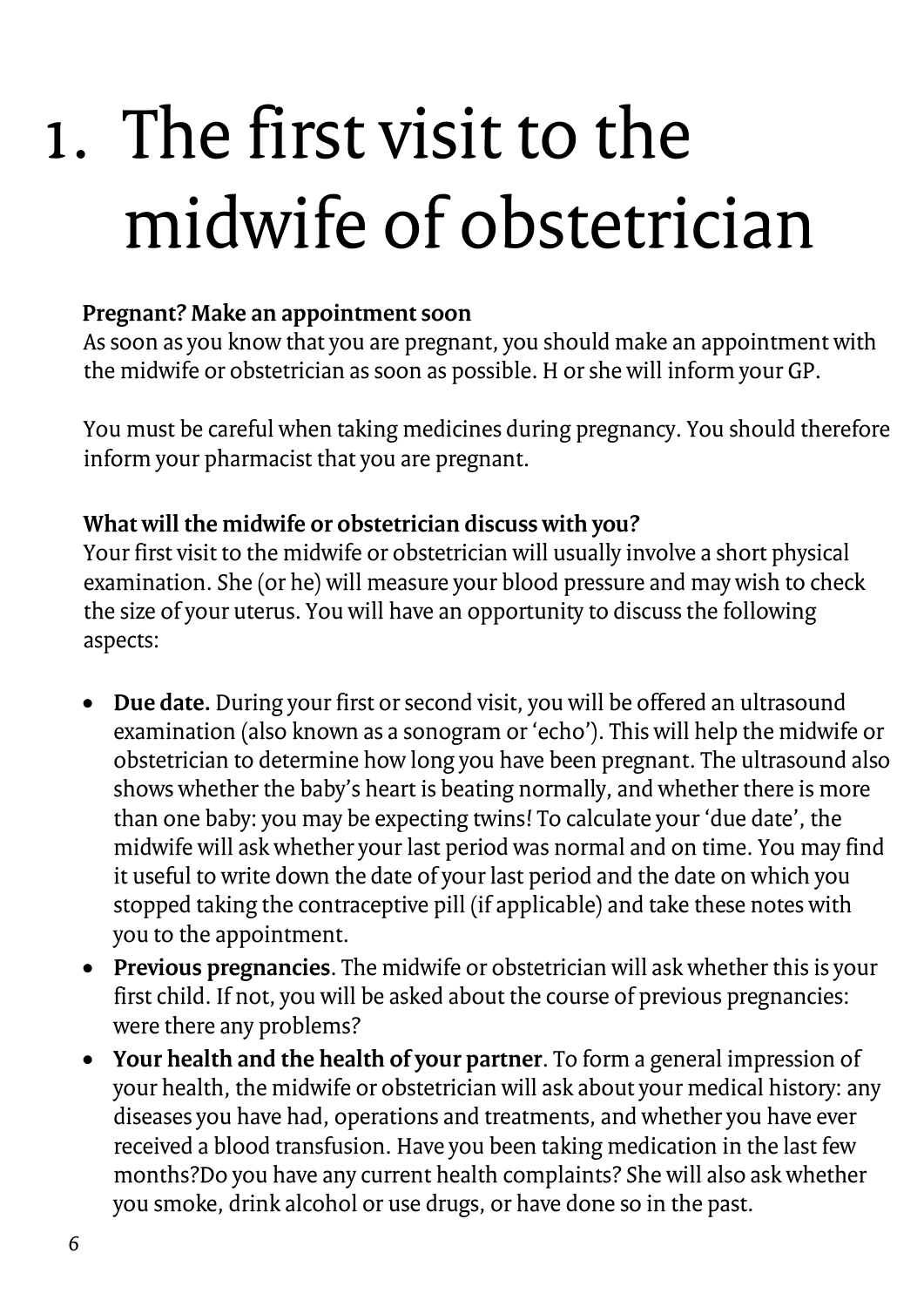## <span id="page-5-0"></span>1. The first visit to the midwife of obstetrician

### **Pregnant? Make an appointment soon**

As soon as you know that you are pregnant, you should make an appointment with the midwife or obstetrician as soon as possible. H or she will inform your GP.

You must be careful when taking medicines during pregnancy. You should therefore inform your pharmacist that you are pregnant.

### **What will the midwife or obstetrician discuss with you?**

Your first visit to the midwife or obstetrician will usually involve a short physical examination. She (or he) will measure your blood pressure and may wish to check the size of your uterus. You will have an opportunity to discuss the following aspects:

- **Due date.** During your first or second visit, you will be offered an ultrasound examination (also known as a sonogram or 'echo'). This will help the midwife or obstetrician to determine how long you have been pregnant. The ultrasound also shows whether the baby's heart is beating normally, and whether there is more than one baby: you may be expecting twins! To calculate your 'due date', the midwife will ask whether your last period was normal and on time. You may find it useful to write down the date of your last period and the date on which you stopped taking the contraceptive pill (if applicable) and take these notes with you to the appointment.
- **Previous pregnancies**. The midwife or obstetrician will ask whether this is your first child. If not, you will be asked about the course of previous pregnancies: were there any problems?
- **Your health and the health of your partner**. To form a general impression of your health, the midwife or obstetrician will ask about your medical history: any diseases you have had, operations and treatments, and whether you have ever received a blood transfusion. Have you been taking medication in the last few months?Do you have any current health complaints? She will also ask whether you smoke, drink alcohol or use drugs, or have done so in the past.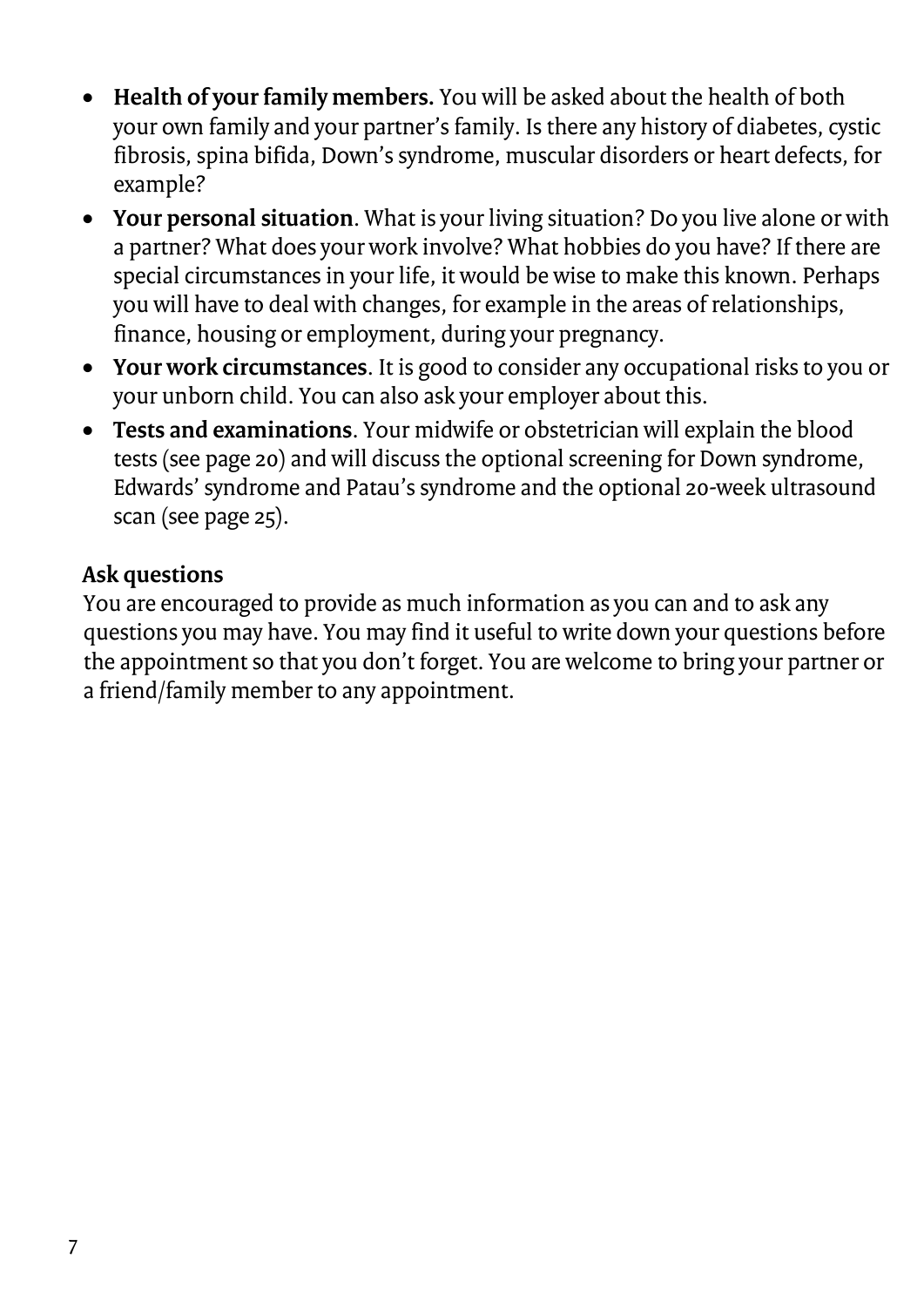- **Health of your family members.** You will be asked about the health of both your own family and your partner's family. Is there any history of diabetes, cystic fibrosis, spina bifida, Down's syndrome, muscular disorders or heart defects, for example?
- **Your personal situation**. What is your living situation? Do you live alone or with a partner? What does your work involve? What hobbies do you have? If there are special circumstances in your life, it would be wise to make this known. Perhaps you will have to deal with changes, for example in the areas of relationships, finance, housing or employment, during your pregnancy.
- **Your work circumstances**. It is good to consider any occupational risks to you or your unborn child. You can also ask your employer about this.
- **Tests and examinations**. Your midwife or obstetrician will explain the blood tests (see page 20) and will discuss the optional screening for Down syndrome, Edwards' syndrome and Patau's syndrome and the optional 20-week ultrasound scan (see page 25).

### **Ask questions**

You are encouraged to provide as much information as you can and to ask any questions you may have. You may find it useful to write down your questions before the appointment so that you don't forget. You are welcome to bring your partner or a friend/family member to any appointment.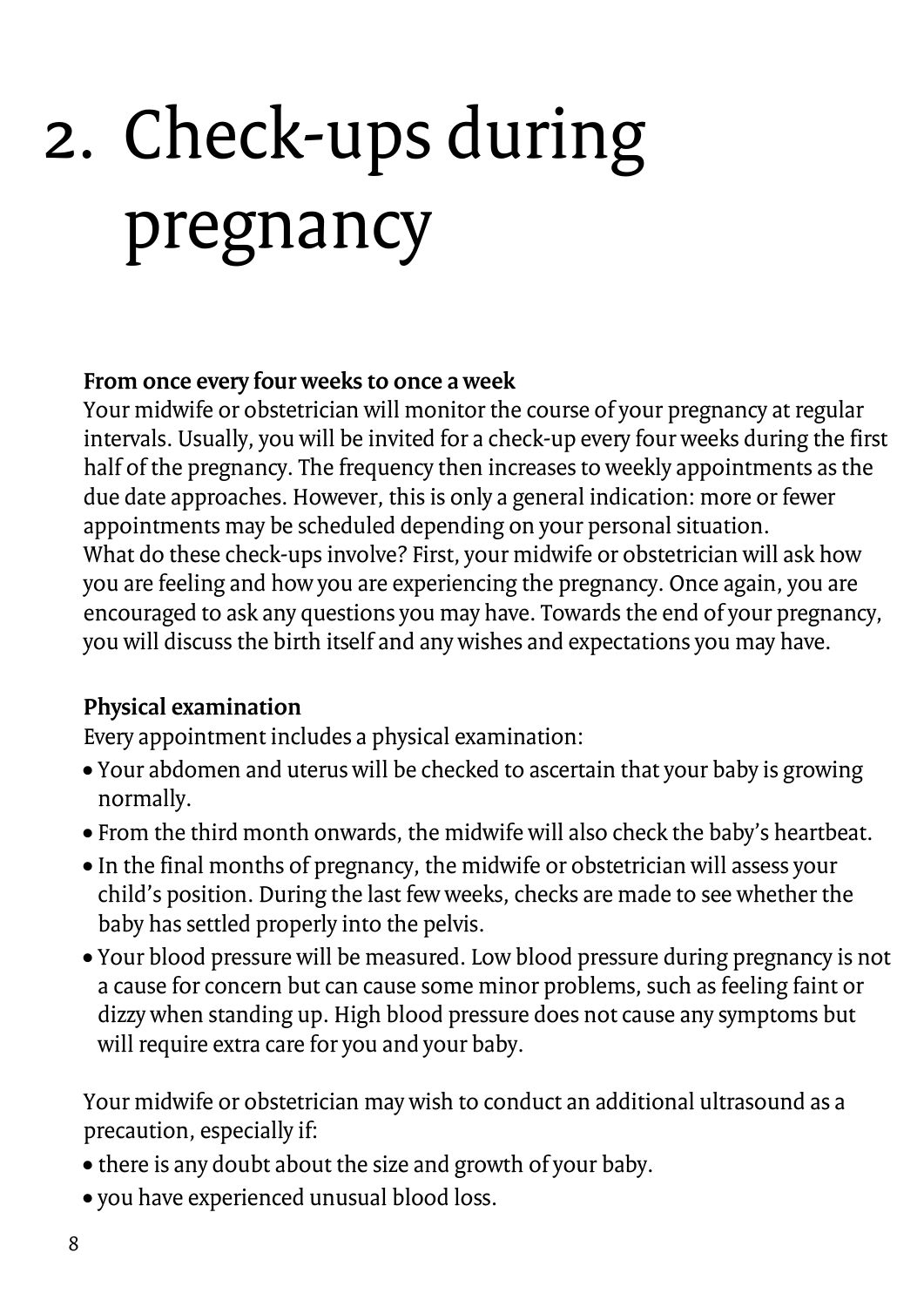# <span id="page-7-0"></span>2. Check-ups during pregnancy

### **From once every four weeks to once a week**

Your midwife or obstetrician will monitor the course of your pregnancy at regular intervals. Usually, you will be invited for a check-up every four weeks during the first half of the pregnancy. The frequency then increases to weekly appointments as the due date approaches. However, this is only a general indication: more or fewer appointments may be scheduled depending on your personal situation. What do these check-ups involve? First, your midwife or obstetrician will ask how you are feeling and how you are experiencing the pregnancy. Once again, you are encouraged to ask any questions you may have. Towards the end of your pregnancy, you will discuss the birth itself and any wishes and expectations you may have.

### **Physical examination**

Every appointment includes a physical examination:

- Your abdomen and uterus will be checked to ascertain that your baby is growing normally.
- From the third month onwards, the midwife will also check the baby's heartbeat.
- In the final months of pregnancy, the midwife or obstetrician will assess your child's position. During the last few weeks, checks are made to see whether the baby has settled properly into the pelvis.
- Your blood pressure will be measured. Low blood pressure during pregnancy is not a cause for concern but can cause some minor problems, such as feeling faint or dizzy when standing up. High blood pressure does not cause any symptoms but will require extra care for you and your baby.

Your midwife or obstetrician may wish to conduct an additional ultrasound as a precaution, especially if:

- there is any doubt about the size and growth of your baby.
- you have experienced unusual blood loss.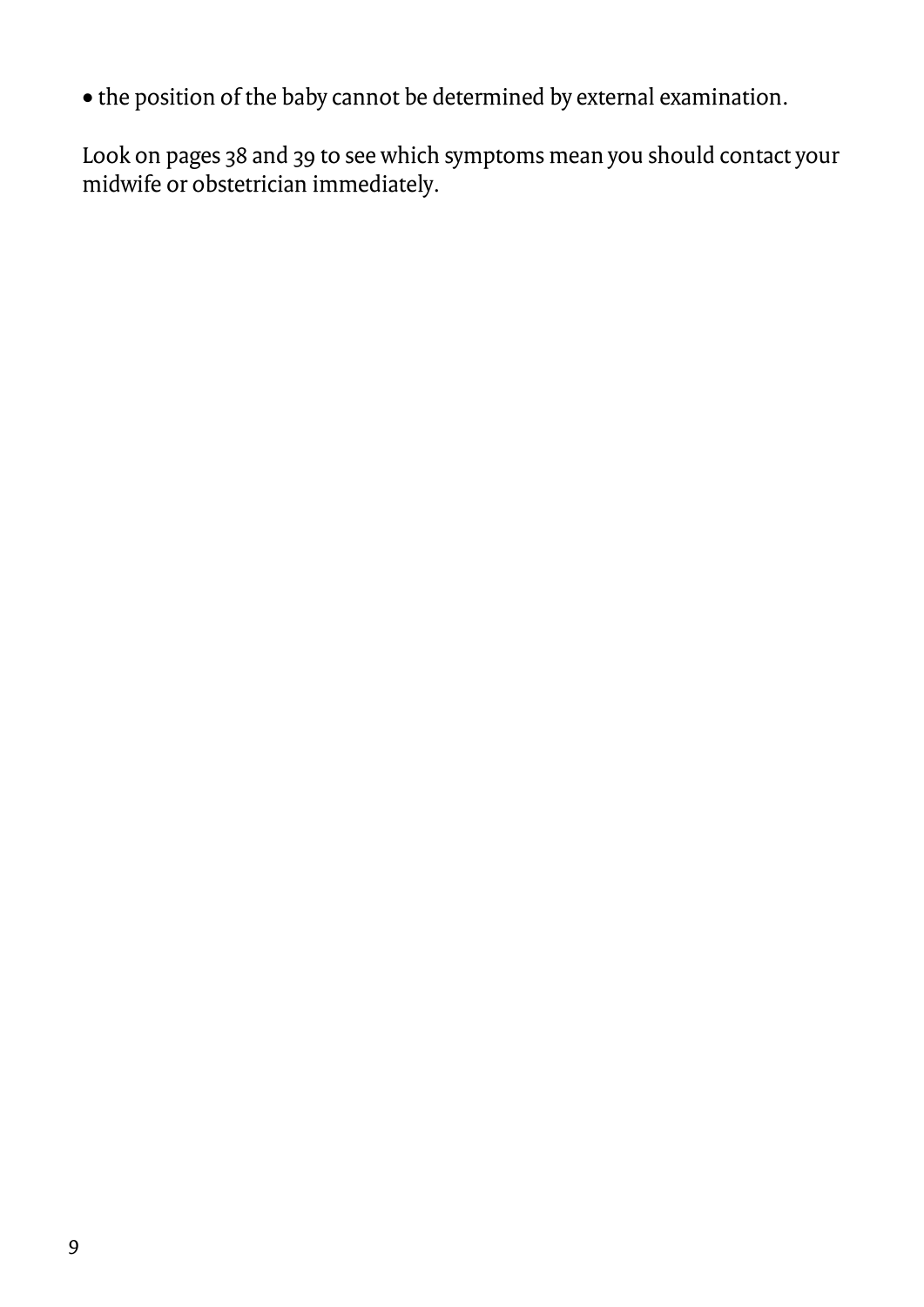• the position of the baby cannot be determined by external examination.

Look on pages 38 and 39 to see which symptoms mean you should contact your midwife or obstetrician immediately.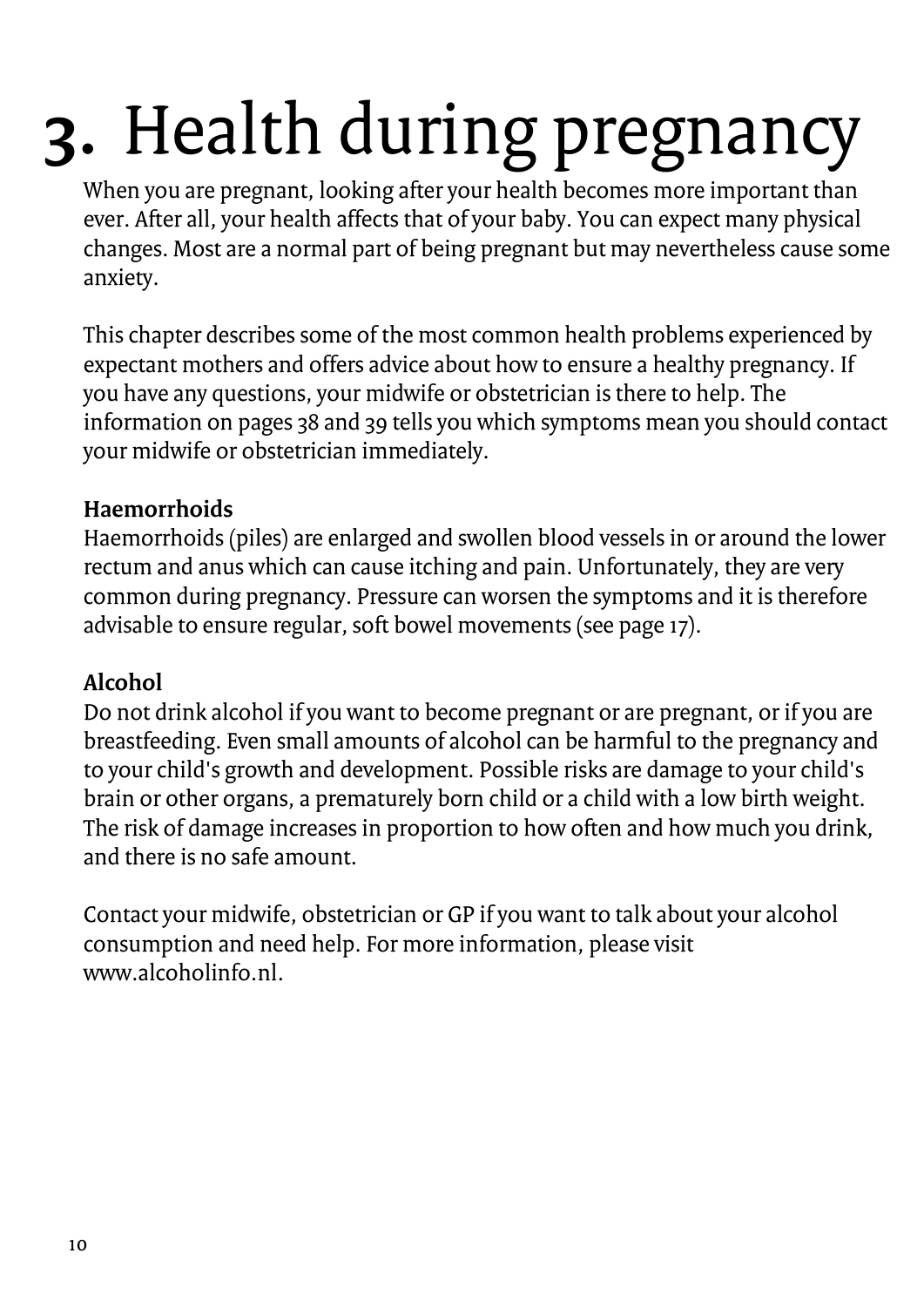# <span id="page-9-0"></span>**3.** Health during pregnancy

When you are pregnant, looking after your health becomes more important than ever. After all, your health affects that of your baby. You can expect many physical changes. Most are a normal part of being pregnant but may nevertheless cause some anxiety.

This chapter describes some of the most common health problems experienced by expectant mothers and offers advice about how to ensure a healthy pregnancy. If you have any questions, your midwife or obstetrician is there to help. The information on pages 38 and 39 tells you which symptoms mean you should contact your midwife or obstetrician immediately.

### **Haemorrhoids**

Haemorrhoids (piles) are enlarged and swollen blood vessels in or around the lower rectum and anus which can cause itching and pain. Unfortunately, they are very common during pregnancy. Pressure can worsen the symptoms and it is therefore advisable to ensure regular, soft bowel movements (see page 17).

### **Alcohol**

Do not drink alcohol if you want to become pregnant or are pregnant, or if you are breastfeeding. Even small amounts of alcohol can be harmful to the pregnancy and to your child's growth and development. Possible risks are damage to your child's brain or other organs, a prematurely born child or a child with a low birth weight. The risk of damage increases in proportion to how often and how much you drink, and there is no safe amount.

Contact your midwife, obstetrician or GP if you want to talk about your alcohol consumption and need help. For more information, please visit www.alcoholinfo.nl.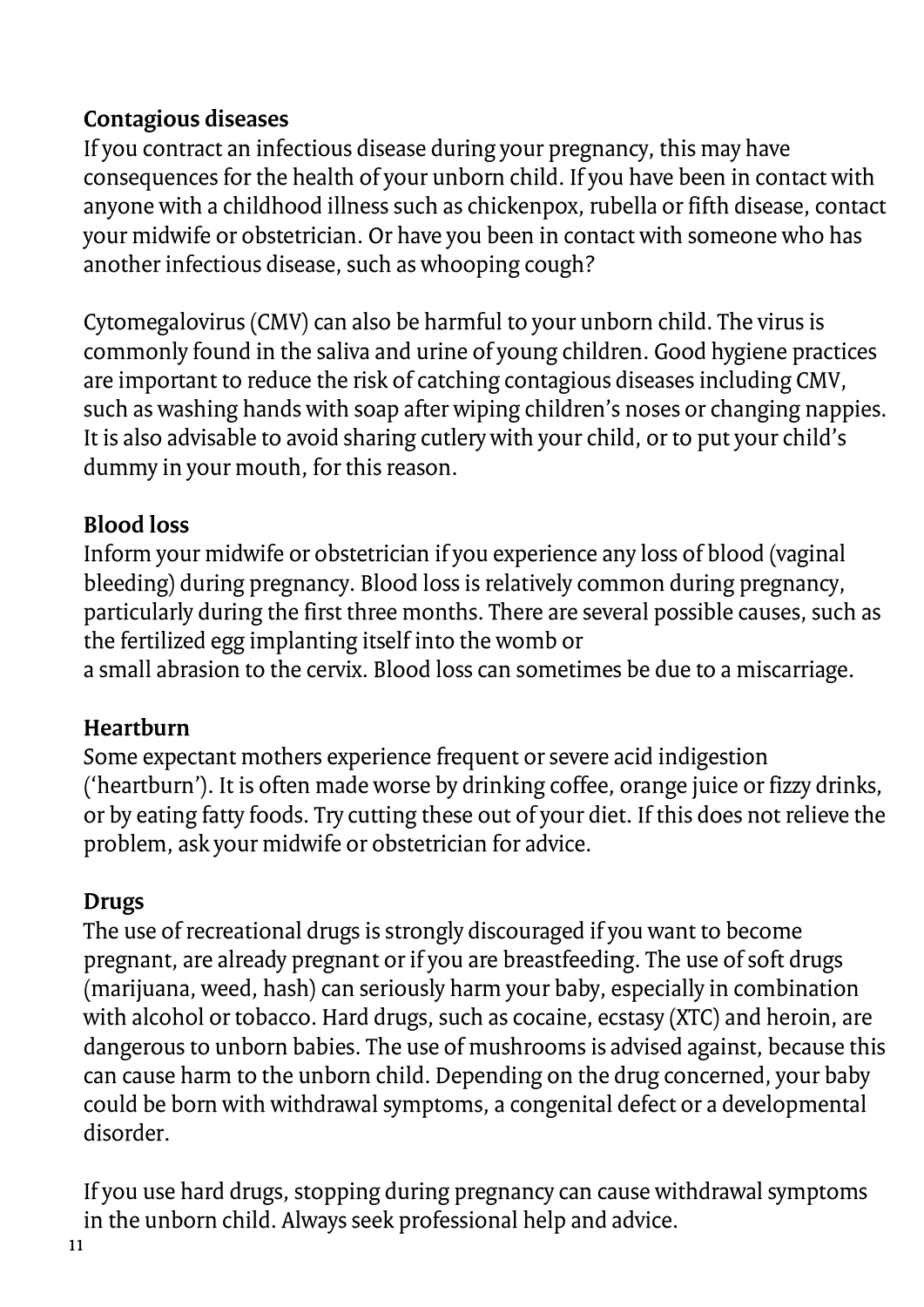### **Contagious diseases**

If you contract an infectious disease during your pregnancy, this may have consequences for the health of your unborn child. If you have been in contact with anyone with a childhood illness such as chickenpox, rubella or fifth disease, contact your midwife or obstetrician. Or have you been in contact with someone who has another infectious disease, such as whooping cough?

Cytomegalovirus (CMV) can also be harmful to your unborn child. The virus is commonly found in the saliva and urine of young children. Good hygiene practices are important to reduce the risk of catching contagious diseases including CMV, such as washing hands with soap after wiping children's noses or changing nappies. It is also advisable to avoid sharing cutlery with your child, or to put your child's dummy in your mouth, for this reason.

### **Blood loss**

Inform your midwife or obstetrician if you experience any loss of blood (vaginal bleeding) during pregnancy. Blood loss is relatively common during pregnancy, particularly during the first three months. There are several possible causes, such as the fertilized egg implanting itself into the womb or a small abrasion to the cervix. Blood loss can sometimes be due to a miscarriage.

### **Heartburn**

Some expectant mothers experience frequent or severe acid indigestion ('heartburn'). It is often made worse by drinking coffee, orange juice or fizzy drinks, or by eating fatty foods. Try cutting these out of your diet. If this does not relieve the problem, ask your midwife or obstetrician for advice.

### **Drugs**

The use of recreational drugs is strongly discouraged if you want to become pregnant, are already pregnant or if you are breastfeeding. The use of soft drugs (marijuana, weed, hash) can seriously harm your baby, especially in combination with alcohol or tobacco. Hard drugs, such as cocaine, ecstasy (XTC) and heroin, are dangerous to unborn babies. The use of mushrooms is advised against, because this can cause harm to the unborn child. Depending on the drug concerned, your baby could be born with withdrawal symptoms, a congenital defect or a developmental disorder.

If you use hard drugs, stopping during pregnancy can cause withdrawal symptoms in the unborn child. Always seek professional help and advice.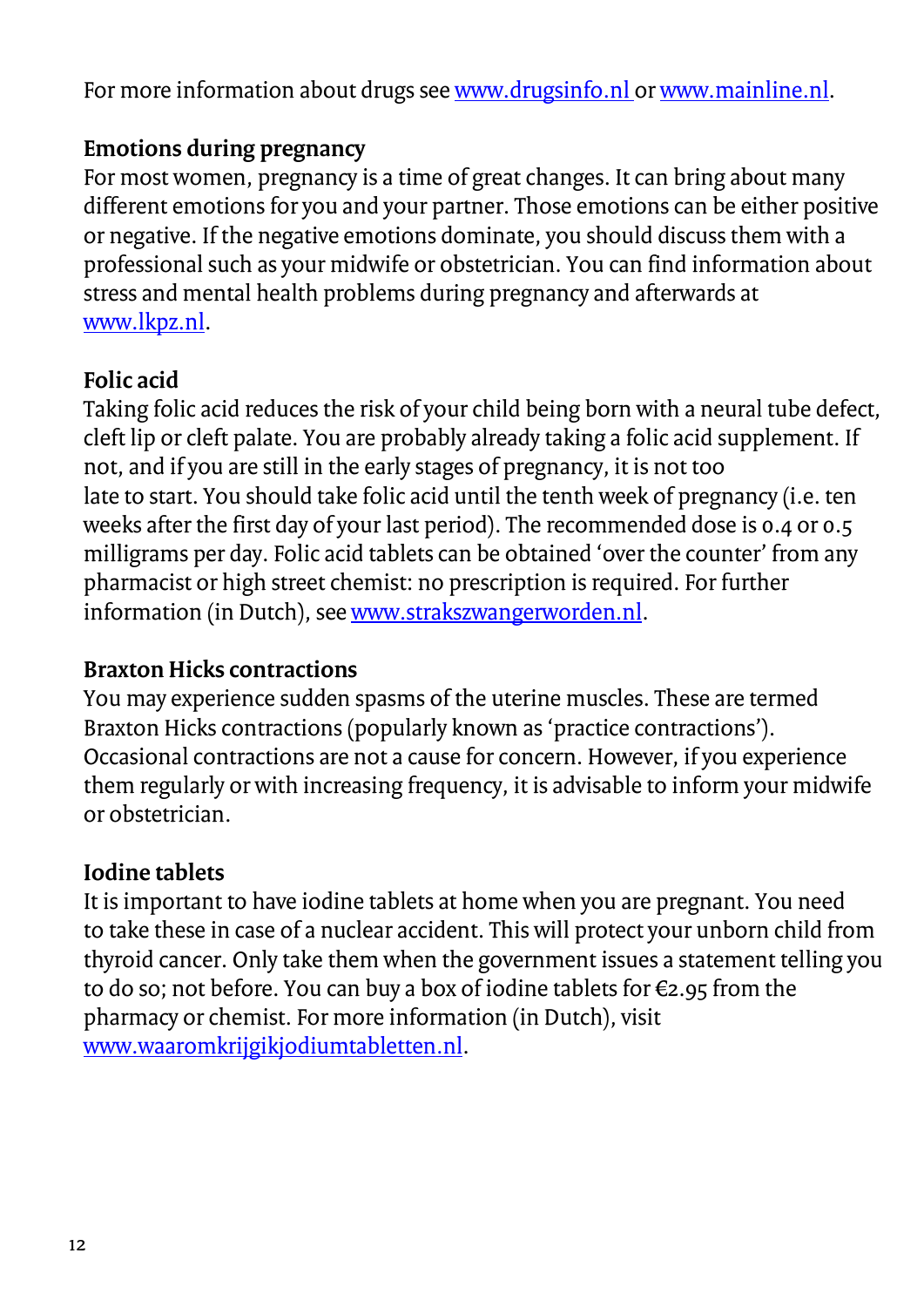For more information about drugs se[e www.drugsinfo.nl o](http://www.drugsinfo.nl/)[r www.mainline.nl.](http://www.mainline.nl/)

### **Emotions during pregnancy**

For most women, pregnancy is a time of great changes. It can bring about many different emotions for you and your partner. Those emotions can be either positive or negative. If the negative emotions dominate, you should discuss them with a professional such as your midwife or obstetrician. You can find information about stress and mental health problems during pregnancy and afterwards at [www.lkpz.nl.](http://www.lkpz.nl/)

### **Folic acid**

Taking folic acid reduces the risk of your child being born with a neural tube defect, cleft lip or cleft palate. You are probably already taking a folic acid supplement. If not, and if you are still in the early stages of pregnancy, it is not too late to start. You should take folic acid until the tenth week of pregnancy (i.e. ten weeks after the first day of your last period). The recommended dose is 0.4 or 0.5 milligrams per day. Folic acid tablets can be obtained 'over the counter' from any pharmacist or high street chemist: no prescription is required. For further information (in Dutch), se[e www.strakszwangerworden.nl.](http://www.strakszwangerworden.nl/)

### **Braxton Hicks contractions**

You may experience sudden spasms of the uterine muscles. These are termed Braxton Hicks contractions (popularly known as 'practice contractions'). Occasional contractions are not a cause for concern. However, if you experience them regularly or with increasing frequency, it is advisable to inform your midwife or obstetrician.

### **Iodine tablets**

It is important to have iodine tablets at home when you are pregnant. You need to take these in case of a nuclear accident. This will protect your unborn child from thyroid cancer. Only take them when the government issues a statement telling you to do so; not before. You can buy a box of iodine tablets for €2.95 from the pharmacy or chemist. For more information (in Dutch), visit [www.waaromkrijgikjodiumtabletten.nl.](http://www.waaromkrijgikjodiumtabletten.nl/)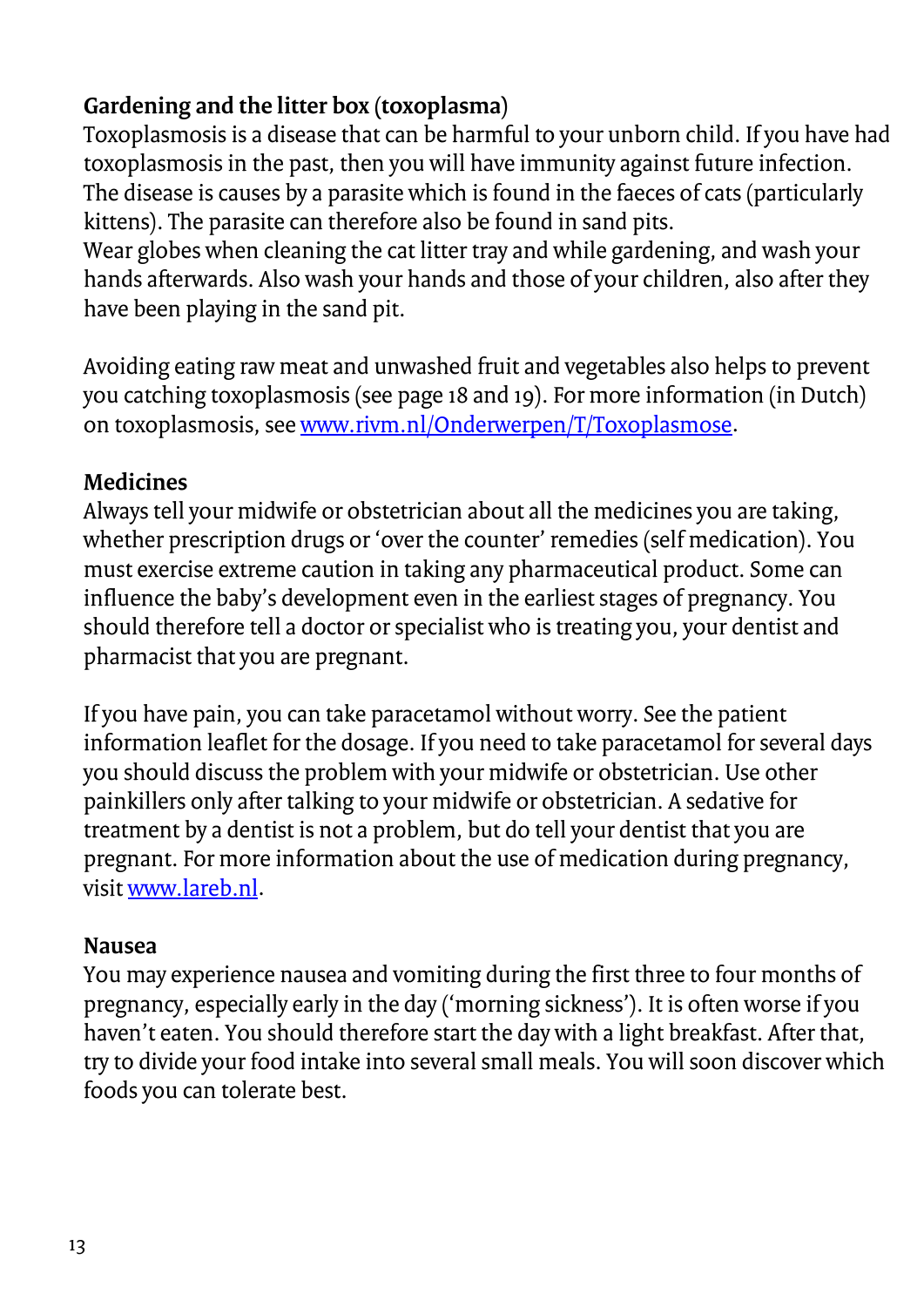### **Gardening and the litter box (toxoplasma)**

Toxoplasmosis is a disease that can be harmful to your unborn child. If you have had toxoplasmosis in the past, then you will have immunity against future infection. The disease is causes by a parasite which is found in the faeces of cats (particularly kittens). The parasite can therefore also be found in sand pits.

Wear globes when cleaning the cat litter tray and while gardening, and wash your hands afterwards. Also wash your hands and those of your children, also after they have been playing in the sand pit.

Avoiding eating raw meat and unwashed fruit and vegetables also helps to prevent you catching toxoplasmosis (see page 18 and 19). For more information (in Dutch) on toxoplasmosis, see [www.rivm.nl/Onderwerpen/T/Toxoplasmose.](https://www.rivm.nl/Onderwerpen/T/Toxoplasmose)

### **Medicines**

Always tell your midwife or obstetrician about all the medicines you are taking, whether prescription drugs or 'over the counter' remedies (self medication). You must exercise extreme caution in taking any pharmaceutical product. Some can influence the baby's development even in the earliest stages of pregnancy. You should therefore tell a doctor or specialist who is treating you, your dentist and pharmacist that you are pregnant.

If you have pain, you can take paracetamol without worry. See the patient information leaflet for the dosage. If you need to take paracetamol for several days you should discuss the problem with your midwife or obstetrician. Use other painkillers only after talking to your midwife or obstetrician. A sedative for treatment by a dentist is not a problem, but do tell your dentist that you are pregnant. For more information about the use of medication during pregnancy, visi[t www.lareb.nl.](http://www.lareb.nl/)

### **Nausea**

You may experience nausea and vomiting during the first three to four months of pregnancy, especially early in the day ('morning sickness'). It is often worse if you haven't eaten. You should therefore start the day with a light breakfast. After that, try to divide your food intake into several small meals. You will soon discover which foods you can tolerate best.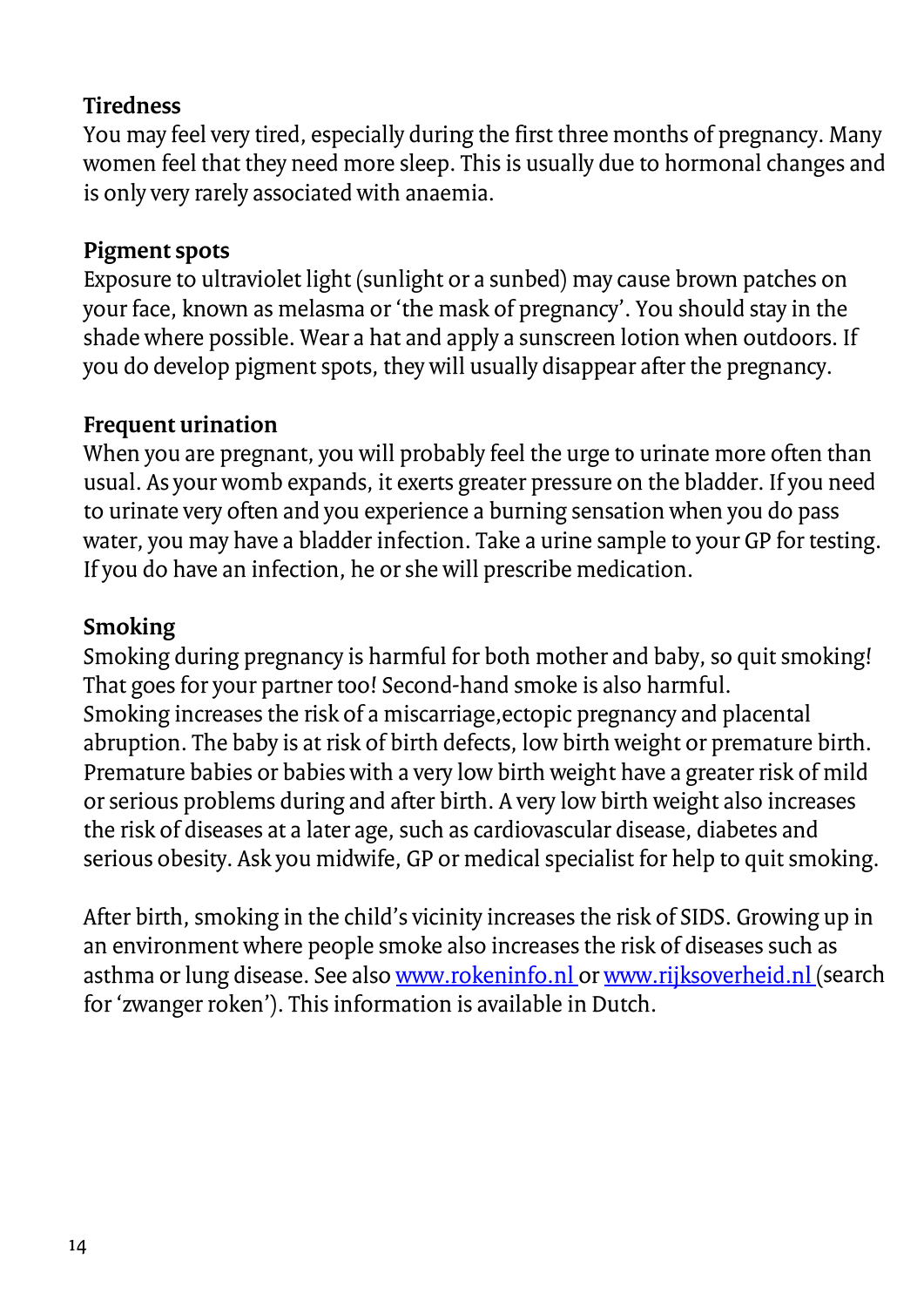### **Tiredness**

You may feel very tired, especially during the first three months of pregnancy. Many women feel that they need more sleep. This is usually due to hormonal changes and is only very rarely associated with anaemia.

### **Pigment spots**

Exposure to ultraviolet light (sunlight or a sunbed) may cause brown patches on your face, known as melasma or 'the mask of pregnancy'. You should stay in the shade where possible. Wear a hat and apply a sunscreen lotion when outdoors. If you do develop pigment spots, they will usually disappear after the pregnancy.

### **Frequent urination**

When you are pregnant, you will probably feel the urge to urinate more often than usual. As your womb expands, it exerts greater pressure on the bladder. If you need to urinate very often and you experience a burning sensation when you do pass water, you may have a bladder infection. Take a urine sample to your GP for testing. If you do have an infection, he or she will prescribe medication.

### **Smoking**

Smoking during pregnancy is harmful for both mother and baby, so quit smoking! That goes for your partner too! Second-hand smoke is also harmful. Smoking increases the risk of a miscarriage,ectopic pregnancy and placental abruption. The baby is at risk of birth defects, low birth weight or premature birth. Premature babies or babies with a very low birth weight have a greater risk of mild or serious problems during and after birth. A very low birth weight also increases the risk of diseases at a later age, such as cardiovascular disease, diabetes and serious obesity. Ask you midwife, GP or medical specialist for help to quit smoking.

After birth, smoking in the child's vicinity increases the risk of SIDS. Growing up in an environment where people smoke also increases the risk of diseases such as asthma or lung disease. See als[o www.rokeninfo.nl o](http://www.rokeninfo.nl/)[r www.rijksoverheid.nl \(](https://www.rijksoverheid.nl/onderwerpen/roken/zwangere-vrouwen-beschermen-tegen-tabaksrook)search for 'zwanger roken'). This information is available in Dutch.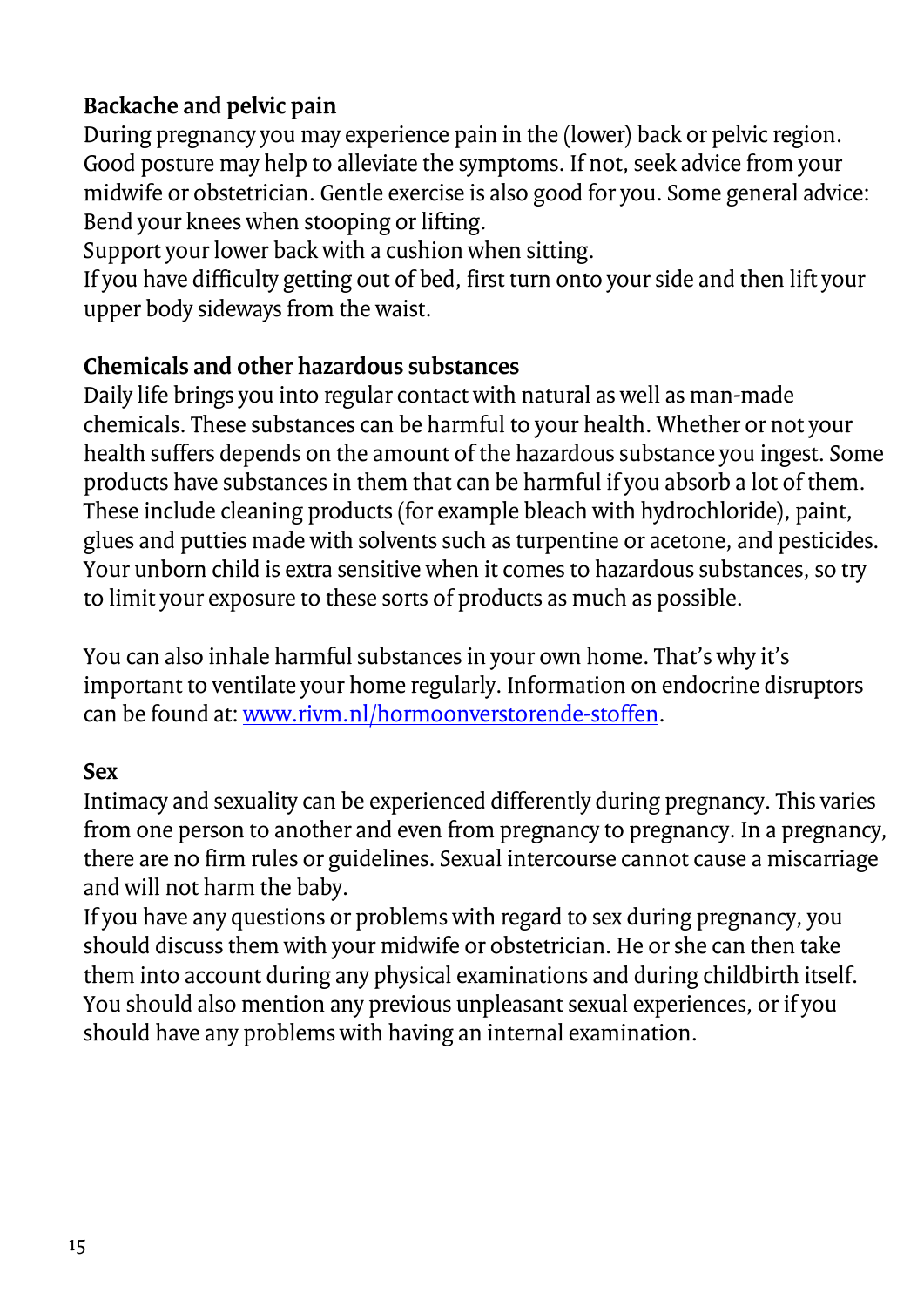### **Backache and pelvic pain**

During pregnancy you may experience pain in the (lower) back or pelvic region. Good posture may help to alleviate the symptoms. If not, seek advice from your midwife or obstetrician. Gentle exercise is also good for you. Some general advice: Bend your knees when stooping or lifting.

Support your lower back with a cushion when sitting.

If you have difficulty getting out of bed, first turn onto your side and then lift your upper body sideways from the waist.

### **Chemicals and other hazardous substances**

Daily life brings you into regular contact with natural as well as man-made chemicals. These substances can be harmful to your health. Whether or not your health suffers depends on the amount of the hazardous substance you ingest. Some products have substances in them that can be harmful if you absorb a lot of them. These include cleaning products (for example bleach with hydrochloride), paint, glues and putties made with solvents such as turpentine or acetone, and pesticides. Your unborn child is extra sensitive when it comes to hazardous substances, so try to limit your exposure to these sorts of products as much as possible.

You can also inhale harmful substances in your own home. That's why it's important to ventilate your home regularly. Information on endocrine disruptors can be found at: [www.rivm.nl/hormoonverstorende-stoffen.](http://www.rivm.nl/hormoonverstorende-stoffen)

### **Sex**

Intimacy and sexuality can be experienced differently during pregnancy. This varies from one person to another and even from pregnancy to pregnancy. In a pregnancy, there are no firm rules or guidelines. Sexual intercourse cannot cause a miscarriage and will not harm the baby.

If you have any questions or problems with regard to sex during pregnancy, you should discuss them with your midwife or obstetrician. He or she can then take them into account during any physical examinations and during childbirth itself. You should also mention any previous unpleasant sexual experiences, or if you should have any problems with having an internal examination.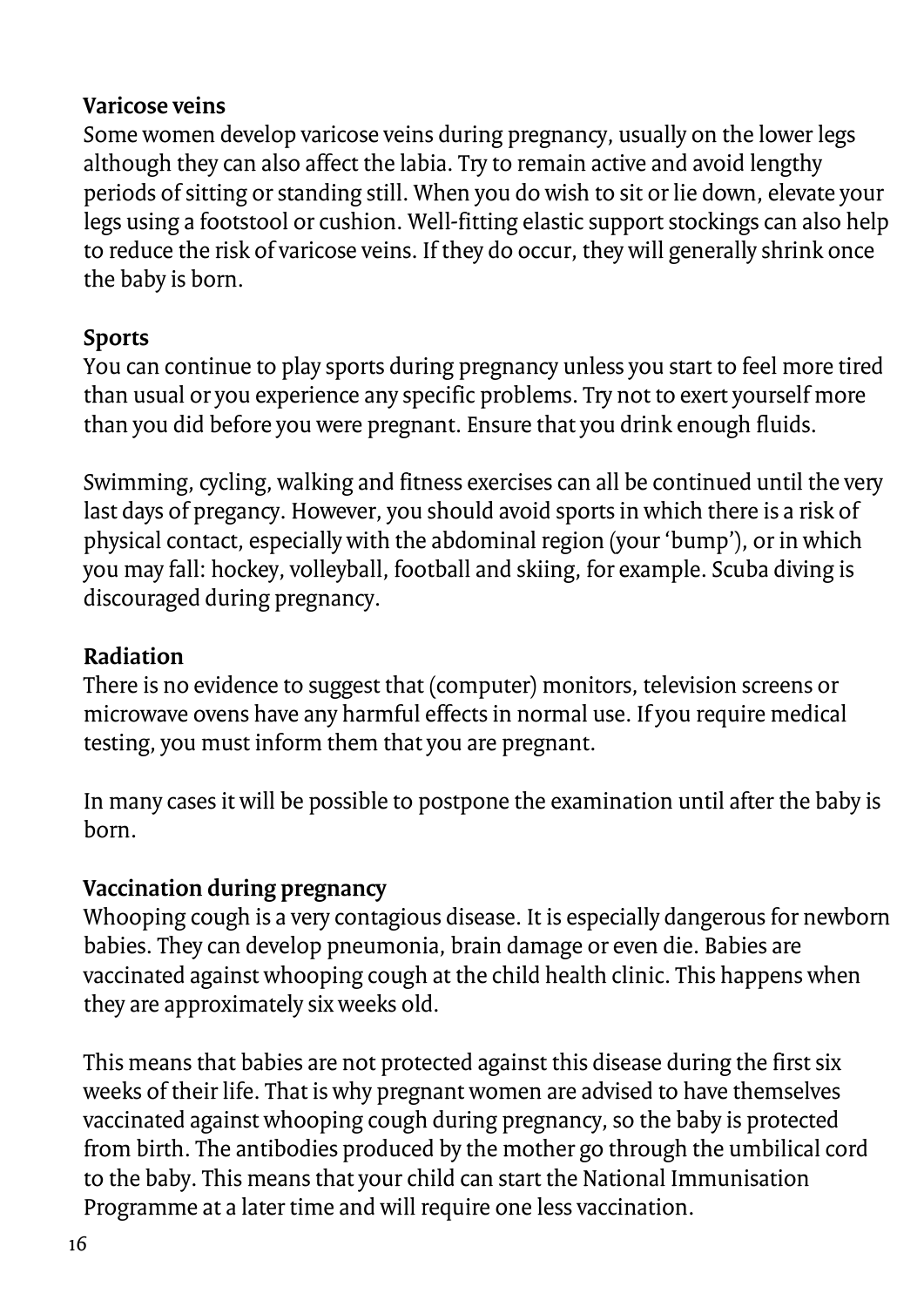### **Varicose veins**

Some women develop varicose veins during pregnancy, usually on the lower legs although they can also affect the labia. Try to remain active and avoid lengthy periods of sitting or standing still. When you do wish to sit or lie down, elevate your legs using a footstool or cushion. Well-fitting elastic support stockings can also help to reduce the risk of varicose veins. If they do occur, they will generally shrink once the baby is born.

### **Sports**

You can continue to play sports during pregnancy unless you start to feel more tired than usual or you experience any specific problems. Try not to exert yourself more than you did before you were pregnant. Ensure that you drink enough fluids.

Swimming, cycling, walking and fitness exercises can all be continued until the very last days of pregancy. However, you should avoid sports in which there is a risk of physical contact, especially with the abdominal region (your 'bump'), or in which you may fall: hockey, volleyball, football and skiing, for example. Scuba diving is discouraged during pregnancy.

### **Radiation**

There is no evidence to suggest that (computer) monitors, television screens or microwave ovens have any harmful effects in normal use. If you require medical testing, you must inform them that you are pregnant.

In many cases it will be possible to postpone the examination until after the baby is born.

### **Vaccination during pregnancy**

Whooping cough is a very contagious disease. It is especially dangerous for newborn babies. They can develop pneumonia, brain damage or even die. Babies are vaccinated against whooping cough at the child health clinic. This happens when they are approximately six weeks old.

This means that babies are not protected against this disease during the first six weeks of their life. That is why pregnant women are advised to have themselves vaccinated against whooping cough during pregnancy, so the baby is protected from birth. The antibodies produced by the mother go through the umbilical cord to the baby. This means that your child can start the National Immunisation Programme at a later time and will require one less vaccination.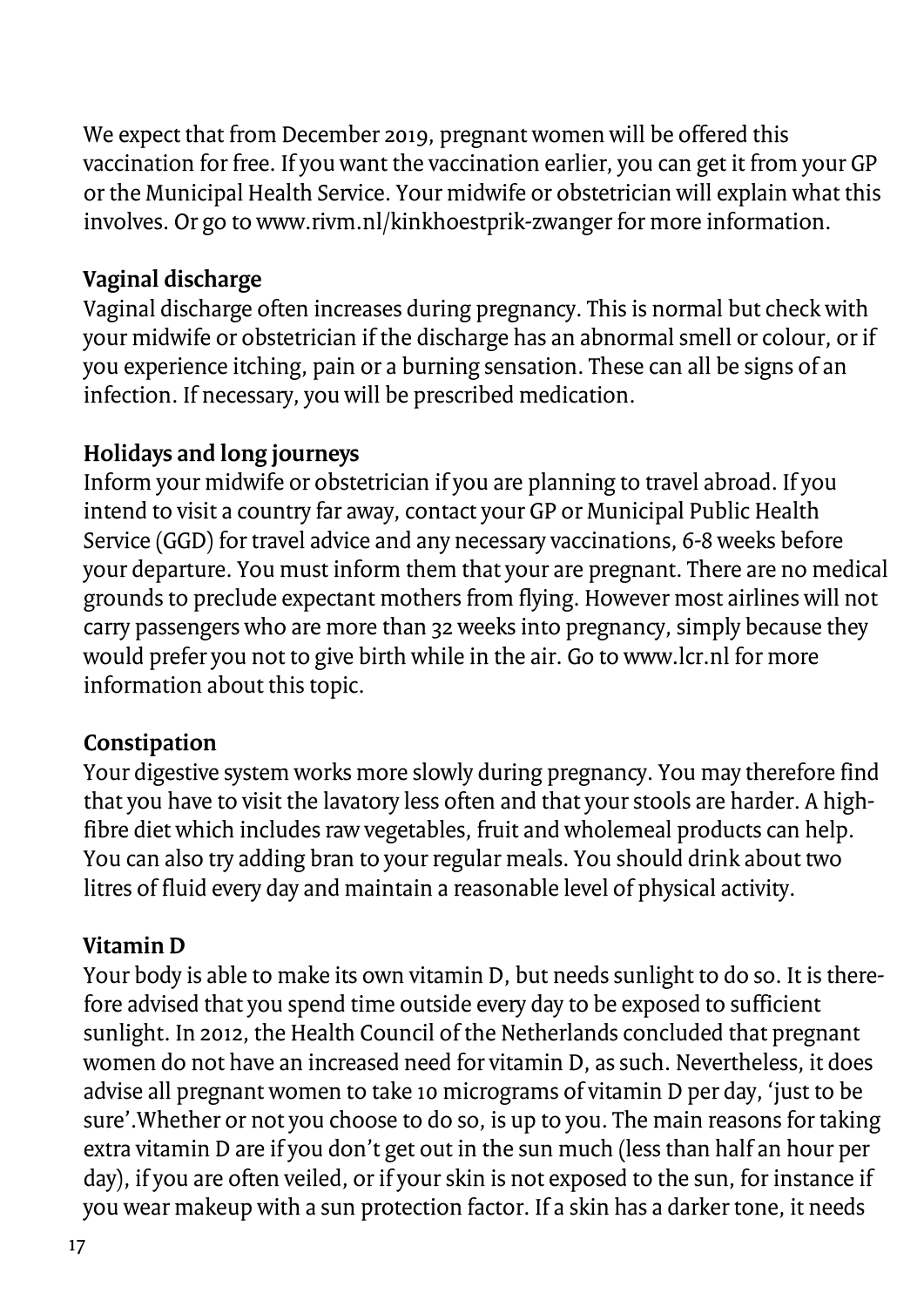We expect that from December 2019, pregnant women will be offered this vaccination for free. If you want the vaccination earlier, you can get it from your GP or the Municipal Health Service. Your midwife or obstetrician will explain what this involves. Or go to www.rivm.nl/kinkhoestprik-zwanger for more information.

### **Vaginal discharge**

Vaginal discharge often increases during pregnancy. This is normal but check with your midwife or obstetrician if the discharge has an abnormal smell or colour, or if you experience itching, pain or a burning sensation. These can all be signs of an infection. If necessary, you will be prescribed medication.

### **Holidays and long journeys**

Inform your midwife or obstetrician if you are planning to travel abroad. If you intend to visit a country far away, contact your GP or Municipal Public Health Service (GGD) for travel advice and any necessary vaccinations, 6-8 weeks before your departure. You must inform them that your are pregnant. There are no medical grounds to preclude expectant mothers from flying. However most airlines will not carry passengers who are more than 32 weeks into pregnancy, simply because they would prefer you not to give birth while in the air. Go to www.lcr.nl for more information about this topic.

### **Constipation**

Your digestive system works more slowly during pregnancy. You may therefore find that you have to visit the lavatory less often and that your stools are harder. A highfibre diet which includes raw vegetables, fruit and wholemeal products can help. You can also try adding bran to your regular meals. You should drink about two litres of fluid every day and maintain a reasonable level of physical activity.

### **Vitamin D**

Your body is able to make its own vitamin D, but needs sunlight to do so. It is therefore advised that you spend time outside every day to be exposed to sufficient sunlight. In 2012, the Health Council of the Netherlands concluded that pregnant women do not have an increased need for vitamin D, as such. Nevertheless, it does advise all pregnant women to take 10 micrograms of vitamin D per day, 'just to be sure'.Whether or not you choose to do so, is up to you. The main reasons for taking extra vitamin D are if you don't get out in the sun much (less than half an hour per day), if you are often veiled, or if your skin is not exposed to the sun, for instance if you wear makeup with a sun protection factor. If a skin has a darker tone, it needs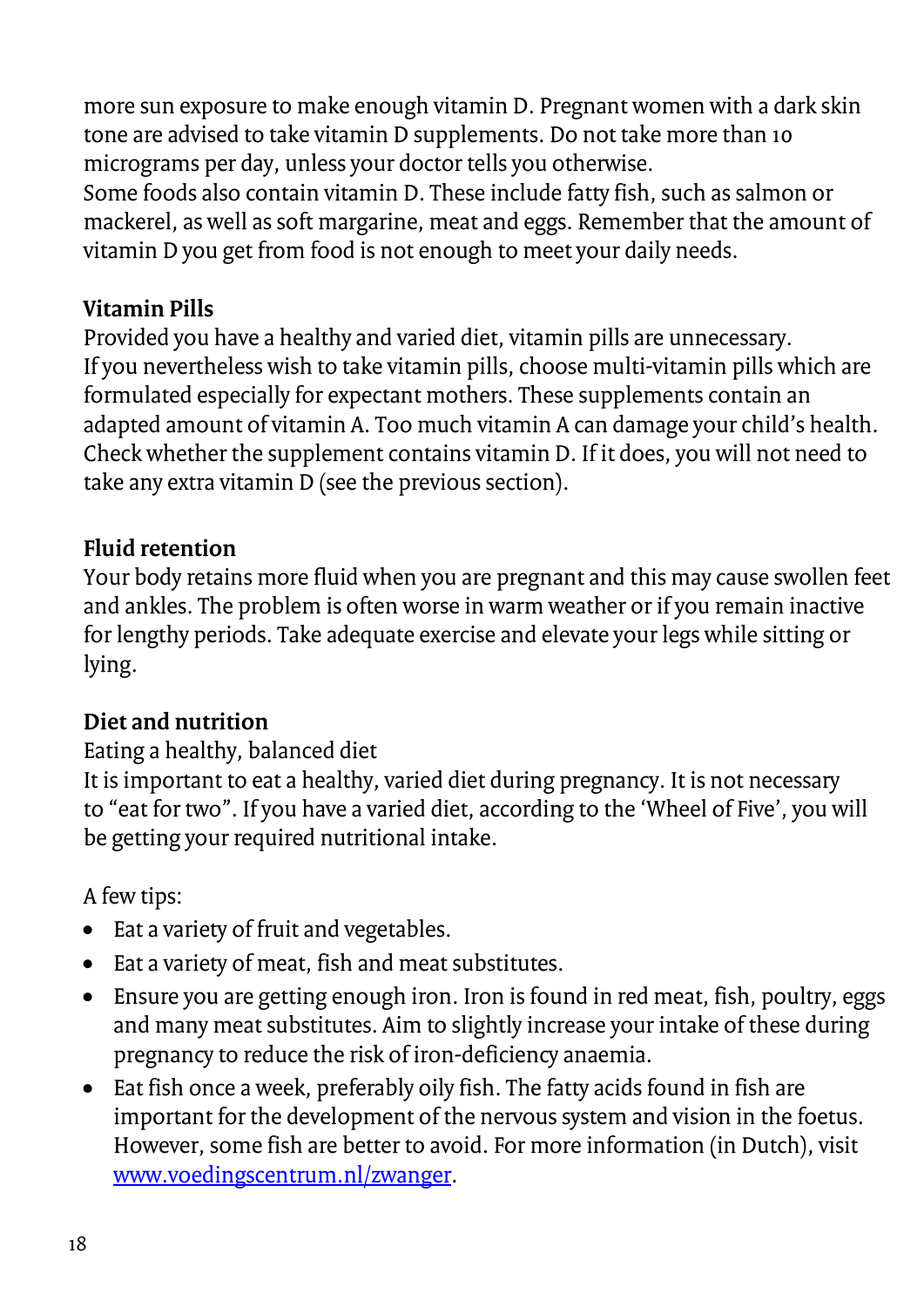more sun exposure to make enough vitamin D. Pregnant women with a dark skin tone are advised to take vitamin D supplements. Do not take more than 10 micrograms per day, unless your doctor tells you otherwise.

Some foods also contain vitamin D. These include fatty fish, such as salmon or mackerel, as well as soft margarine, meat and eggs. Remember that the amount of vitamin D you get from food is not enough to meet your daily needs.

### **Vitamin Pills**

Provided you have a healthy and varied diet, vitamin pills are unnecessary. If you nevertheless wish to take vitamin pills, choose multi-vitamin pills which are formulated especially for expectant mothers. These supplements contain an adapted amount of vitamin A. Too much vitamin A can damage your child's health. Check whether the supplement contains vitamin D. If it does, you will not need to take any extra vitamin D (see the previous section).

### **Fluid retention**

Your body retains more fluid when you are pregnant and this may cause swollen feet and ankles. The problem is often worse in warm weather or if you remain inactive for lengthy periods. Take adequate exercise and elevate your legs while sitting or lying.

### **Diet and nutrition**

### Eating a healthy, balanced diet

It is important to eat a healthy, varied diet during pregnancy. It is not necessary to "eat for two". If you have a varied diet, according to the 'Wheel of Five', you will be getting your required nutritional intake.

A few tips:

- Eat a variety of fruit and vegetables.
- Eat a variety of meat, fish and meat substitutes.
- Ensure you are getting enough iron. Iron is found in red meat, fish, poultry, eggs and many meat substitutes. Aim to slightly increase your intake of these during pregnancy to reduce the risk of iron-deficiency anaemia.
- Eat fish once a week, preferably oily fish. The fatty acids found in fish are important for the development of the nervous system and vision in the foetus. However, some fish are better to avoid. For more information (in Dutch), visit [www.voedingscentrum.nl/zwanger.](http://www.voedingscentrum.nl/zwanger)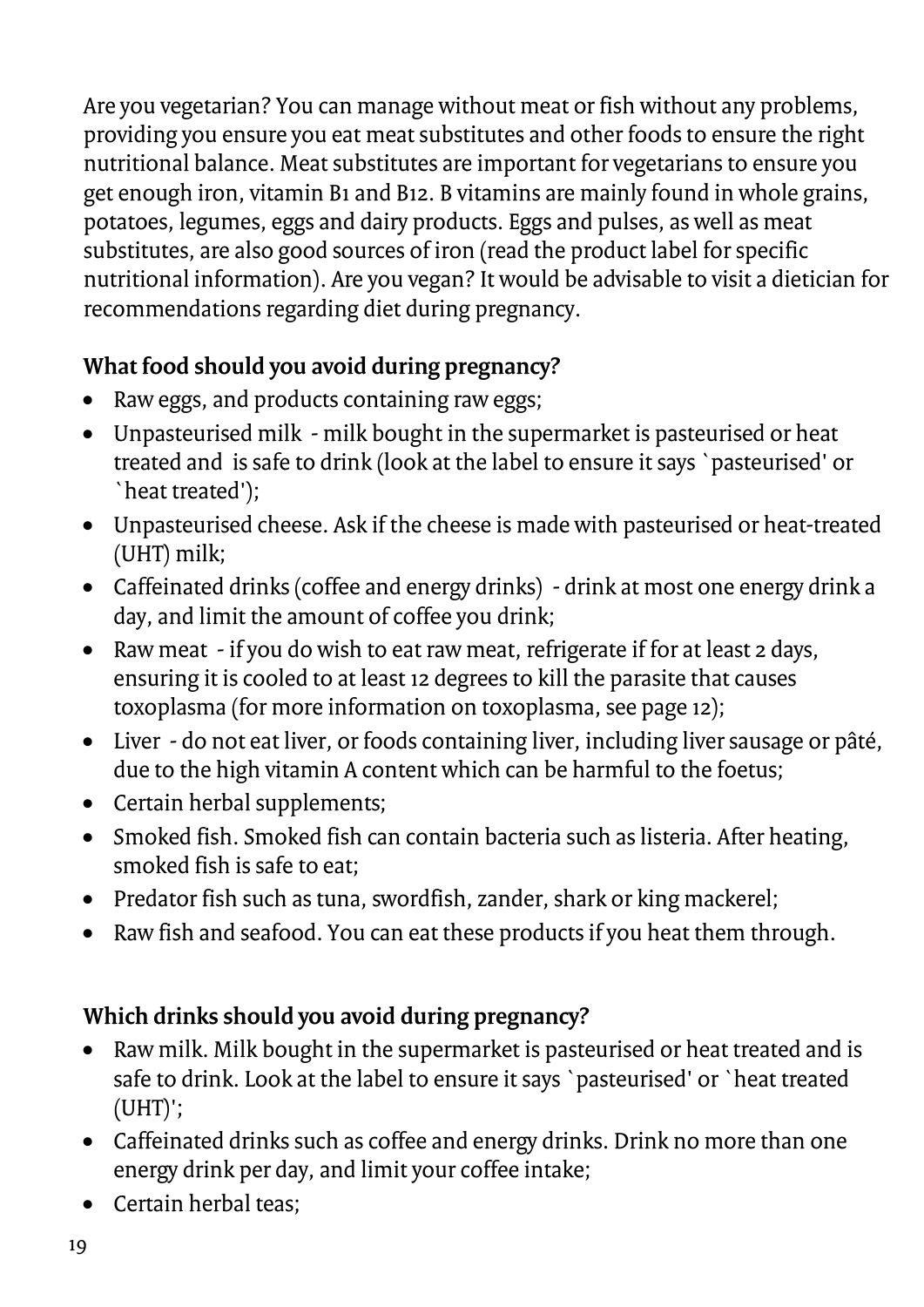Are you vegetarian? You can manage without meat or fish without any problems, providing you ensure you eat meat substitutes and other foods to ensure the right nutritional balance. Meat substitutes are important for vegetarians to ensure you get enough iron, vitamin B1 and B12. B vitamins are mainly found in whole grains, potatoes, legumes, eggs and dairy products. Eggs and pulses, as well as meat substitutes, are also good sources of iron (read the product label for specific nutritional information). Are you vegan? It would be advisable to visit a dietician for recommendations regarding diet during pregnancy.

### **What food should you avoid during pregnancy?**

- Raw eggs, and products containing raw eggs;
- Unpasteurised milk milk bought in the supermarket is pasteurised or heat treated and is safe to drink (look at the label to ensure it says `pasteurised' or `heat treated');
- Unpasteurised cheese. Ask if the cheese is made with pasteurised or heat-treated (UHT) milk;
- Caffeinated drinks (coffee and energy drinks) drink at most one energy drink a day, and limit the amount of coffee you drink;
- Raw meat if you do wish to eat raw meat, refrigerate if for at least 2 days, ensuring it is cooled to at least 12 degrees to kill the parasite that causes toxoplasma (for more information on toxoplasma, see page 12);
- Liver do not eat liver, or foods containing liver, including liver sausage or pâté, due to the high vitamin A content which can be harmful to the foetus;
- Certain herbal supplements;
- Smoked fish. Smoked fish can contain bacteria such as listeria. After heating, smoked fish is safe to eat;
- Predator fish such as tuna, swordfish, zander, shark or king mackerel;
- Raw fish and seafood. You can eat these products if you heat them through.

### **Which drinks should you avoid during pregnancy?**

- Raw milk. Milk bought in the supermarket is pasteurised or heat treated and is safe to drink. Look at the label to ensure it says `pasteurised' or `heat treated (UHT)';
- Caffeinated drinks such as coffee and energy drinks. Drink no more than one energy drink per day, and limit your coffee intake;
- Certain herbal teas;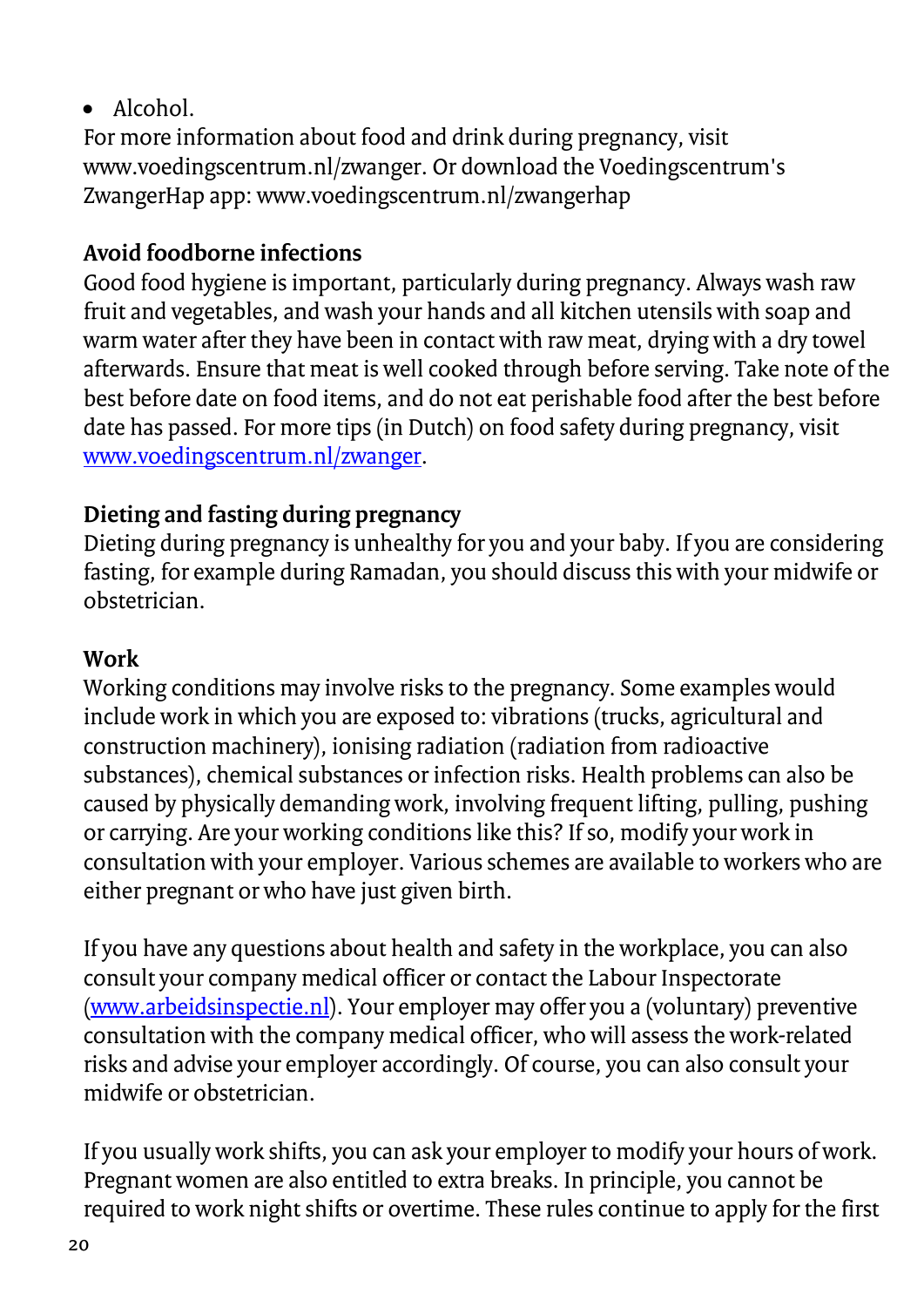### • Alcohol.

For more information about food and drink during pregnancy, visit www.voedingscentrum.nl/zwanger. Or download the Voedingscentrum's ZwangerHap app: www.voedingscentrum.nl/zwangerhap

### **Avoid foodborne infections**

Good food hygiene is important, particularly during pregnancy. Always wash raw fruit and vegetables, and wash your hands and all kitchen utensils with soap and warm water after they have been in contact with raw meat, drying with a dry towel afterwards. Ensure that meat is well cooked through before serving. Take note of the best before date on food items, and do not eat perishable food after the best before date has passed. For more tips (in Dutch) on food safety during pregnancy, visit [www.voedingscentrum.nl/zwanger.](http://www.voedingscentrum.nl/zwanger)

### **Dieting and fasting during pregnancy**

Dieting during pregnancy is unhealthy for you and your baby. If you are considering fasting, for example during Ramadan, you should discuss this with your midwife or obstetrician.

### **Work**

Working conditions may involve risks to the pregnancy. Some examples would include work in which you are exposed to: vibrations (trucks, agricultural and construction machinery), ionising radiation (radiation from radioactive substances), chemical substances or infection risks. Health problems can also be caused by physically demanding work, involving frequent lifting, pulling, pushing or carrying. Are your working conditions like this? If so, modify your work in consultation with your employer. Various schemes are available to workers who are either pregnant or who have just given birth.

If you have any questions about health and safety in the workplace, you can also consult your company medical officer or contact the Labour Inspectorate [\(www.arbeidsinspectie.nl\)](http://www.arbeidsinspectie.nl/). Your employer may offer you a (voluntary) preventive consultation with the company medical officer, who will assess the work-related risks and advise your employer accordingly. Of course, you can also consult your midwife or obstetrician.

If you usually work shifts, you can ask your employer to modify your hours of work. Pregnant women are also entitled to extra breaks. In principle, you cannot be required to work night shifts or overtime. These rules continue to apply for the first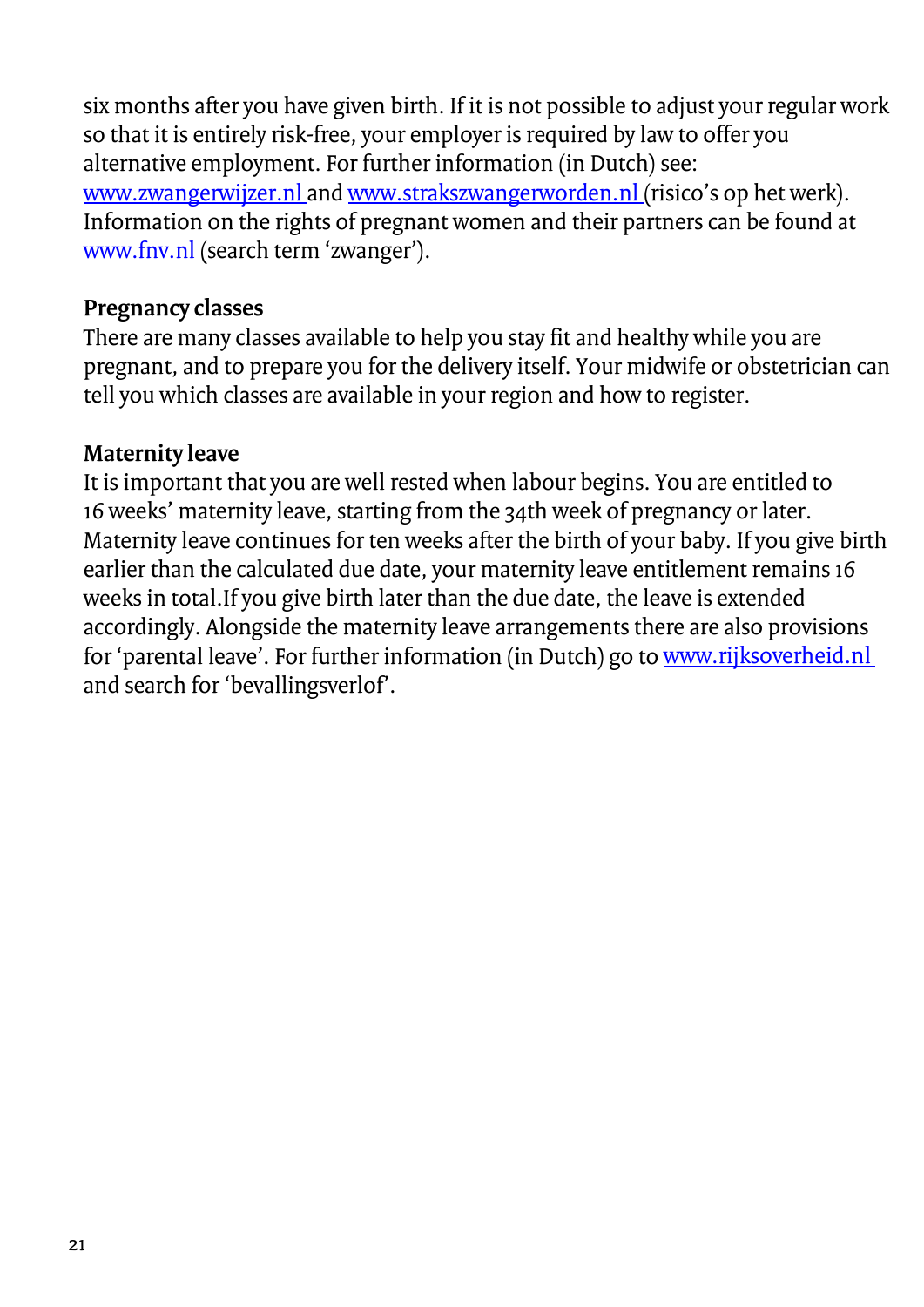six months after you have given birth. If it is not possible to adjust your regular work so that it is entirely risk-free, your employer is required by law to offer you alternative employment. For further information (in Dutch) see: [www.zwangerwijzer.nl a](http://www.zwangerwijzer.nl/)n[d www.strakszwangerworden.nl \(](http://www.strakszwangerworden.nl/)risico's op het werk). Information on the rights of pregnant women and their partners can be found at [www.fnv.nl \(](http://www.fnv.nl/)search term 'zwanger').

### **Pregnancy classes**

There are many classes available to help you stay fit and healthy while you are pregnant, and to prepare you for the delivery itself. Your midwife or obstetrician can tell you which classes are available in your region and how to register.

#### **Maternity leave**

It is important that you are well rested when labour begins. You are entitled to 16 weeks' maternity leave, starting from the 34th week of pregnancy or later. Maternity leave continues for ten weeks after the birth of your baby. If you give birth earlier than the calculated due date, your maternity leave entitlement remains 16 weeks in total.If you give birth later than the due date, the leave is extended accordingly. Alongside the maternity leave arrangements there are also provisions for 'parental leave'. For further information (in Dutch) go to www.rijksoverheid.nl and search for 'bevallingsverlof'.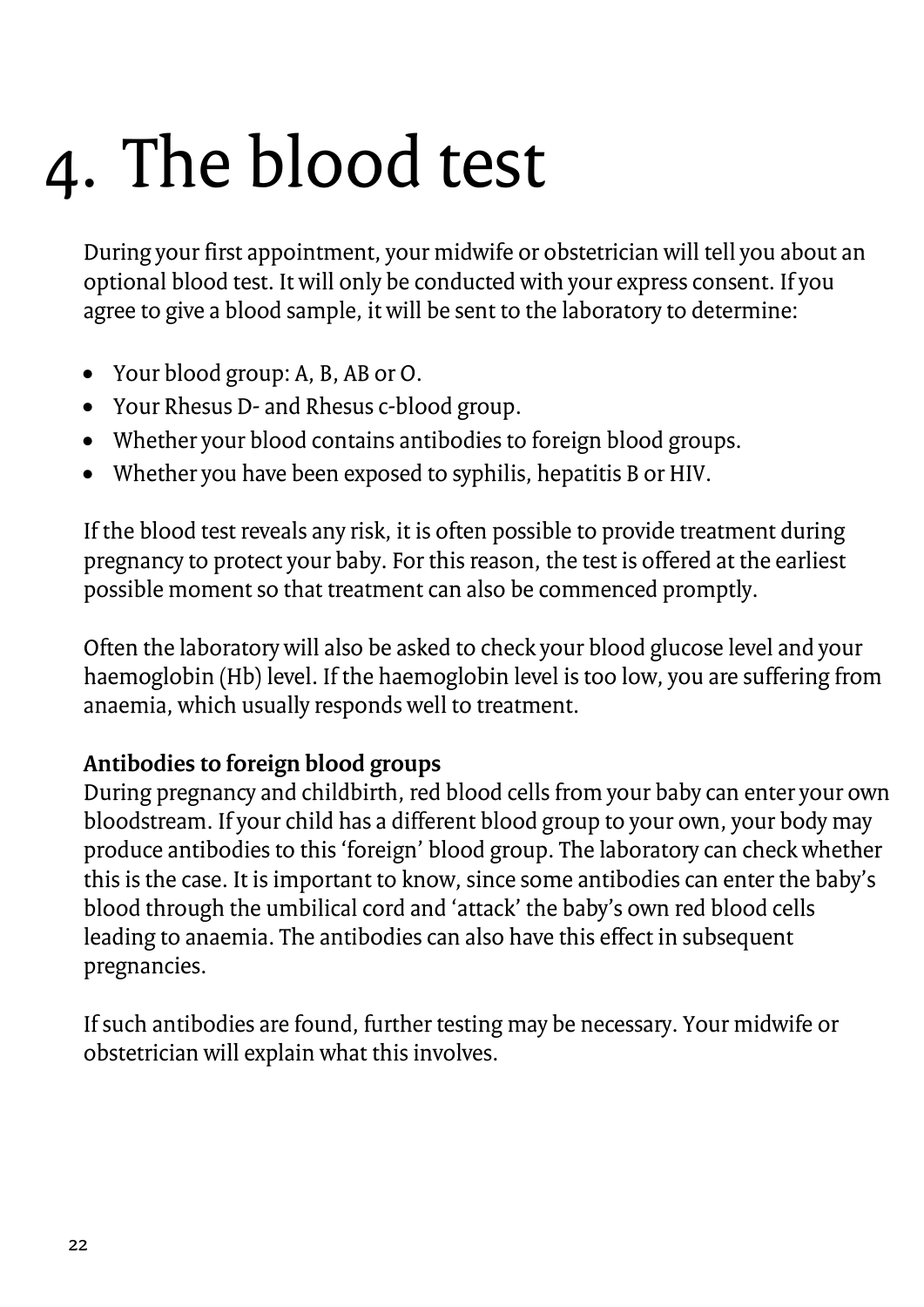### <span id="page-21-0"></span>4. The blood test

During your first appointment, your midwife or obstetrician will tell you about an optional blood test. It will only be conducted with your express consent. If you agree to give a blood sample, it will be sent to the laboratory to determine:

- Your blood group: A, B, AB or O.
- Your Rhesus D- and Rhesus c-blood group.
- Whether your blood contains antibodies to foreign blood groups.
- Whether you have been exposed to syphilis, hepatitis B or HIV.

If the blood test reveals any risk, it is often possible to provide treatment during pregnancy to protect your baby. For this reason, the test is offered at the earliest possible moment so that treatment can also be commenced promptly.

Often the laboratory will also be asked to check your blood glucose level and your haemoglobin (Hb) level. If the haemoglobin level is too low, you are suffering from anaemia, which usually responds well to treatment.

### **Antibodies to foreign blood groups**

During pregnancy and childbirth, red blood cells from your baby can enter your own bloodstream. If your child has a different blood group to your own, your body may produce antibodies to this 'foreign' blood group. The laboratory can check whether this is the case. It is important to know, since some antibodies can enter the baby's blood through the umbilical cord and 'attack' the baby's own red blood cells leading to anaemia. The antibodies can also have this effect in subsequent pregnancies.

If such antibodies are found, further testing may be necessary. Your midwife or obstetrician will explain what this involves.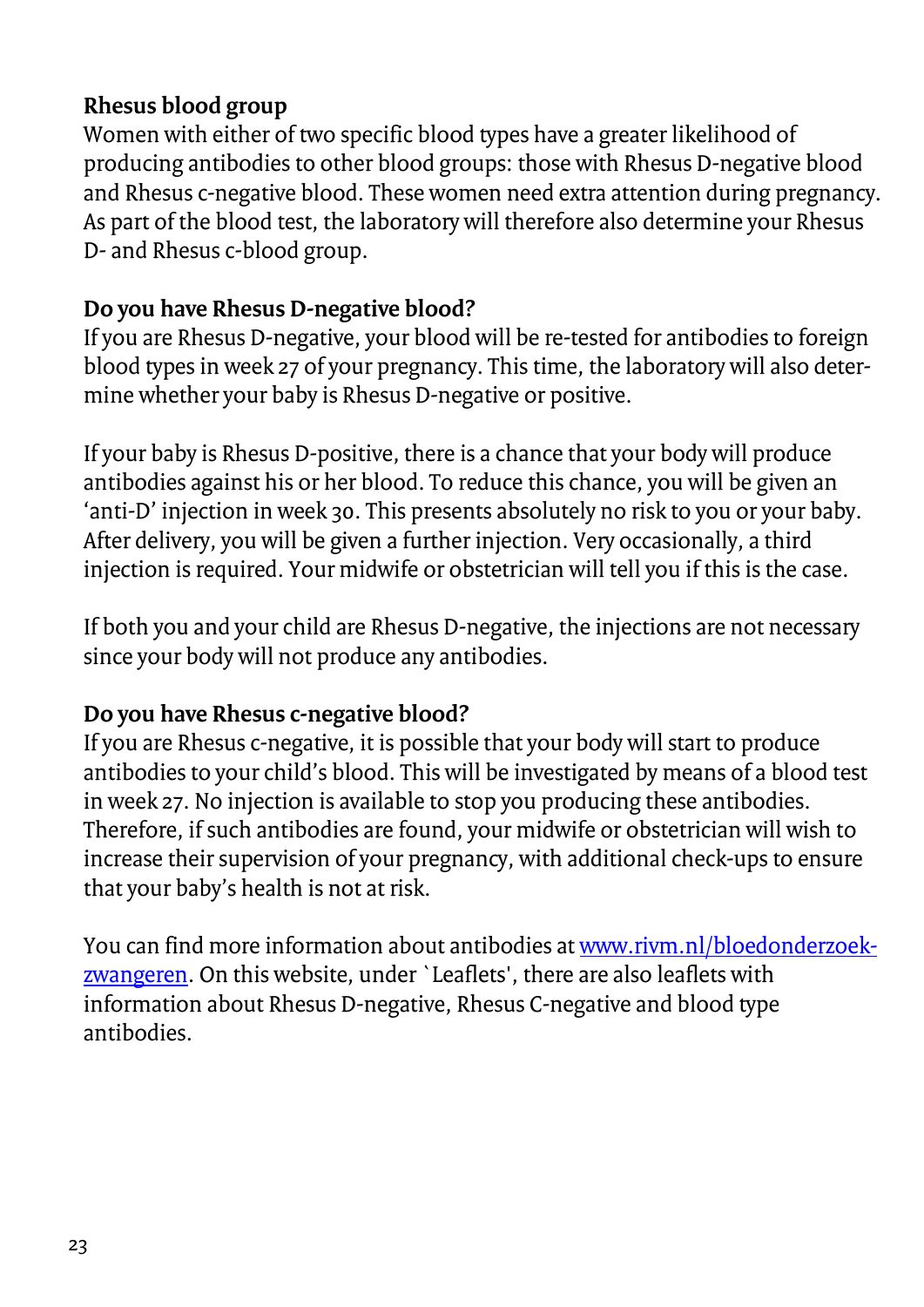### **Rhesus blood group**

Women with either of two specific blood types have a greater likelihood of producing antibodies to other blood groups: those with Rhesus D-negative blood and Rhesus c-negative blood. These women need extra attention during pregnancy. As part of the blood test, the laboratory will therefore also determine your Rhesus D- and Rhesus c-blood group.

### **Do you have Rhesus D-negative blood?**

If you are Rhesus D-negative, your blood will be re-tested for antibodies to foreign blood types in week 27 of your pregnancy. This time, the laboratory will also determine whether your baby is Rhesus D-negative or positive.

If your baby is Rhesus D-positive, there is a chance that your body will produce antibodies against his or her blood. To reduce this chance, you will be given an 'anti-D' injection in week 30. This presents absolutely no risk to you or your baby. After delivery, you will be given a further injection. Very occasionally, a third injection is required. Your midwife or obstetrician will tell you if this is the case.

If both you and your child are Rhesus D-negative, the injections are not necessary since your body will not produce any antibodies.

### **Do you have Rhesus c-negative blood?**

If you are Rhesus c-negative, it is possible that your body will start to produce antibodies to your child's blood. This will be investigated by means of a blood test in week 27. No injection is available to stop you producing these antibodies. Therefore, if such antibodies are found, your midwife or obstetrician will wish to increase their supervision of your pregnancy, with additional check-ups to ensure that your baby's health is not at risk.

You can find more information about antibodies a[t www.rivm.nl/bloedonderzoek](http://www.rivm.nl/bloedonderzoek-zwangeren)[zwangeren.](http://www.rivm.nl/bloedonderzoek-zwangeren) On this website, under `Leaflets', there are also leaflets with information about Rhesus D-negative, Rhesus C-negative and blood type antibodies.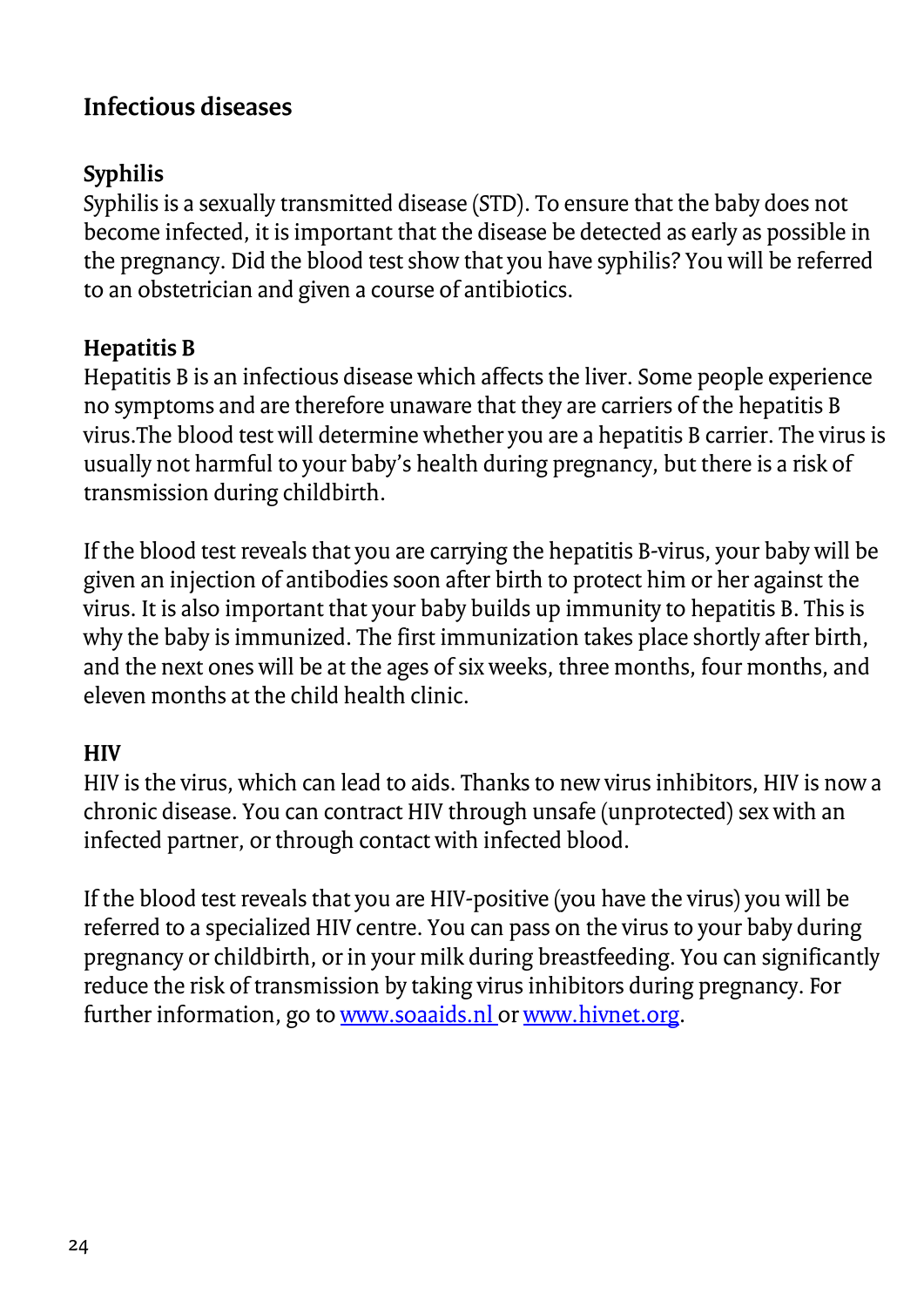### **Infectious diseases**

### **Syphilis**

Syphilis is a sexually transmitted disease (STD). To ensure that the baby does not become infected, it is important that the disease be detected as early as possible in the pregnancy. Did the blood test show that you have syphilis? You will be referred to an obstetrician and given a course of antibiotics.

### **Hepatitis B**

Hepatitis B is an infectious disease which affects the liver. Some people experience no symptoms and are therefore unaware that they are carriers of the hepatitis B virus.The blood test will determine whether you are a hepatitis B carrier. The virus is usually not harmful to your baby's health during pregnancy, but there is a risk of transmission during childbirth.

If the blood test reveals that you are carrying the hepatitis B-virus, your baby will be given an injection of antibodies soon after birth to protect him or her against the virus. It is also important that your baby builds up immunity to hepatitis B. This is why the baby is immunized. The first immunization takes place shortly after birth, and the next ones will be at the ages of six weeks, three months, four months, and eleven months at the child health clinic.

### **HIV**

HIV is the virus, which can lead to aids. Thanks to new virus inhibitors, HIV is now a chronic disease. You can contract HIV through unsafe (unprotected) sex with an infected partner, or through contact with infected blood.

If the blood test reveals that you are HIV-positive (you have the virus) you will be referred to a specialized HIV centre. You can pass on the virus to your baby during pregnancy or childbirth, or in your milk during breastfeeding. You can significantly reduce the risk of transmission by taking virus inhibitors during pregnancy. For further information, go t[o www.soaaids.nl o](http://www.soaaids.nl/)[r www.hivnet.org.](http://www.hivnet.org/)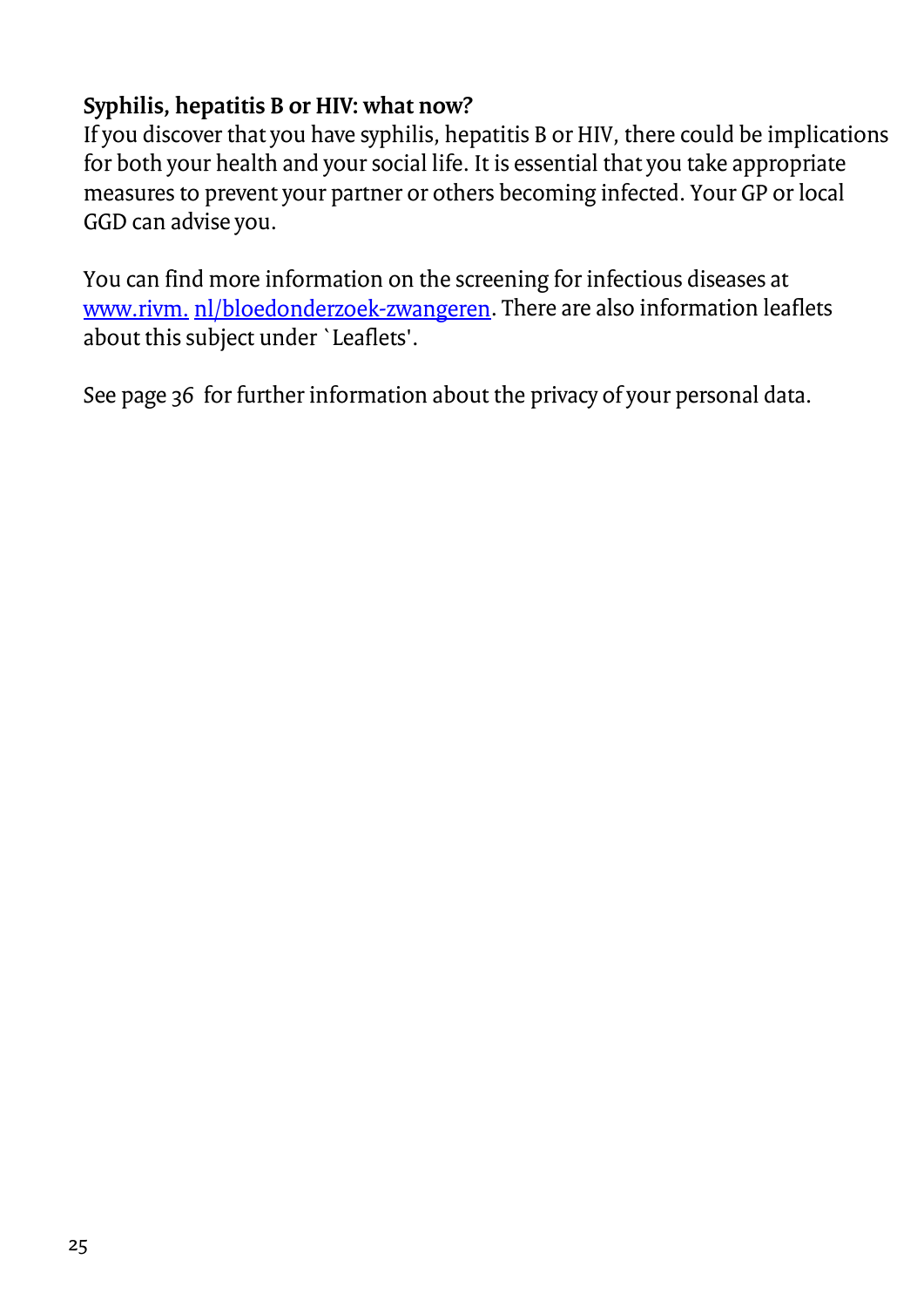### **Syphilis, hepatitis B or HIV: what now?**

If you discover that you have syphilis, hepatitis B or HIV, there could be implications for both your health and your social life. It is essential that you take appropriate measures to prevent your partner or others becoming infected. Your GP or local GGD can advise you.

You can find more information on the screening for infectious diseases at [www.rivm.](http://www.rivm.nl/bloedonderzoek-zwangeren) [nl/bloedonderzoek-zwangeren.](http://www.rivm.nl/bloedonderzoek-zwangeren) There are also information leaflets about this subject under `Leaflets'.

See page 36 for further information about the privacy of your personal data.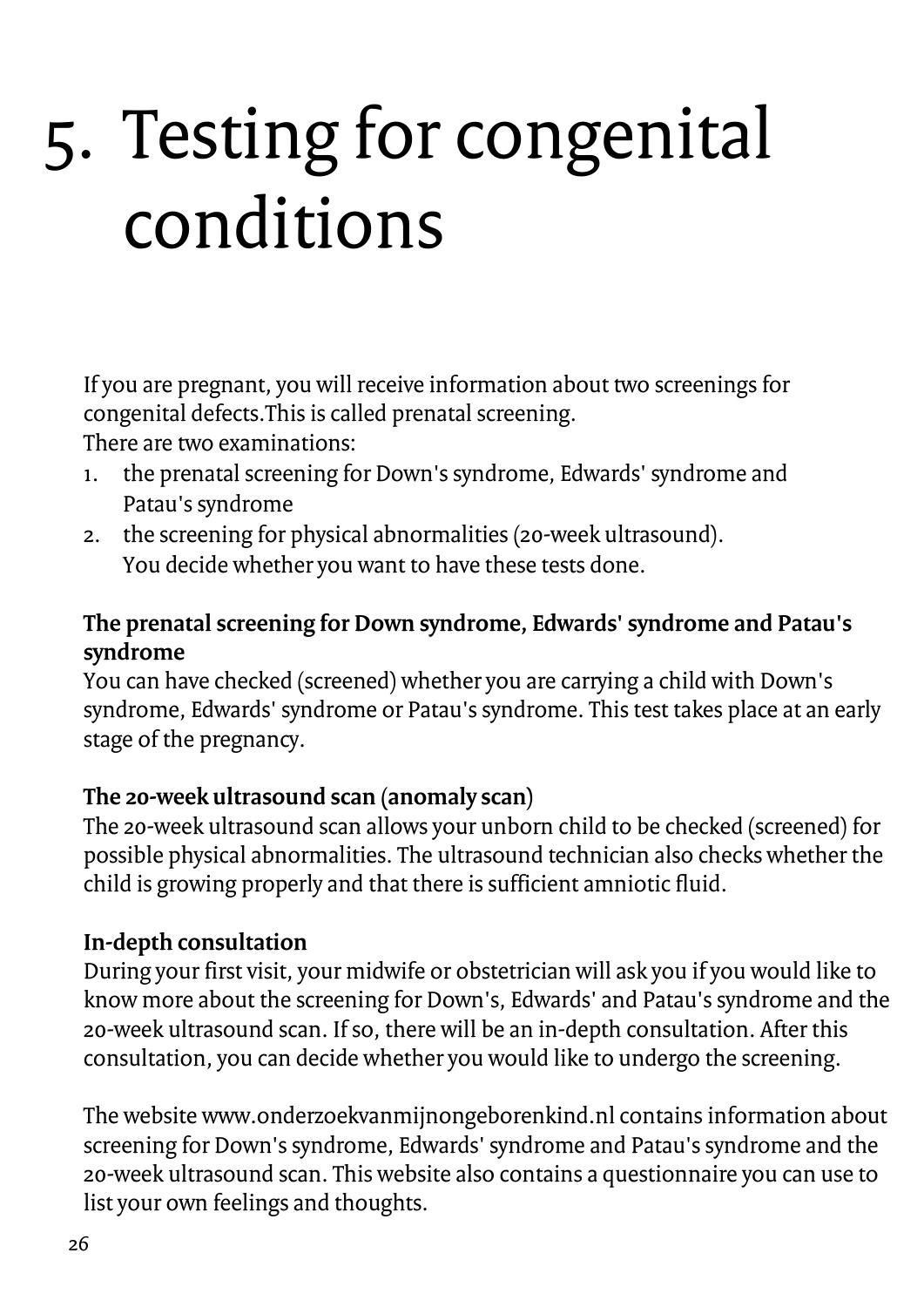## <span id="page-25-0"></span>5. Testing for congenital conditions

If you are pregnant, you will receive information about two screenings for congenital defects.This is called prenatal screening.

There are two examinations:

- 1. the prenatal screening for Down's syndrome, Edwards' syndrome and Patau's syndrome
- 2. the screening for physical abnormalities (20-week ultrasound). You decide whether you want to have these tests done.

### **The prenatal screening for Down syndrome, Edwards' syndrome and Patau's syndrome**

You can have checked (screened) whether you are carrying a child with Down's syndrome, Edwards' syndrome or Patau's syndrome. This test takes place at an early stage of the pregnancy.

### **The 20-week ultrasound scan (anomaly scan)**

The 20-week ultrasound scan allows your unborn child to be checked (screened) for possible physical abnormalities. The ultrasound technician also checks whether the child is growing properly and that there is sufficient amniotic fluid.

### **In-depth consultation**

During your first visit, your midwife or obstetrician will ask you if you would like to know more about the screening for Down's, Edwards' and Patau's syndrome and the 20-week ultrasound scan. If so, there will be an in-depth consultation. After this consultation, you can decide whether you would like to undergo the screening.

The website www.onderzoekvanmijnongeborenkind.nl contains information about screening for Down's syndrome, Edwards' syndrome and Patau's syndrome and the 20-week ultrasound scan. This website also contains a questionnaire you can use to list your own feelings and thoughts.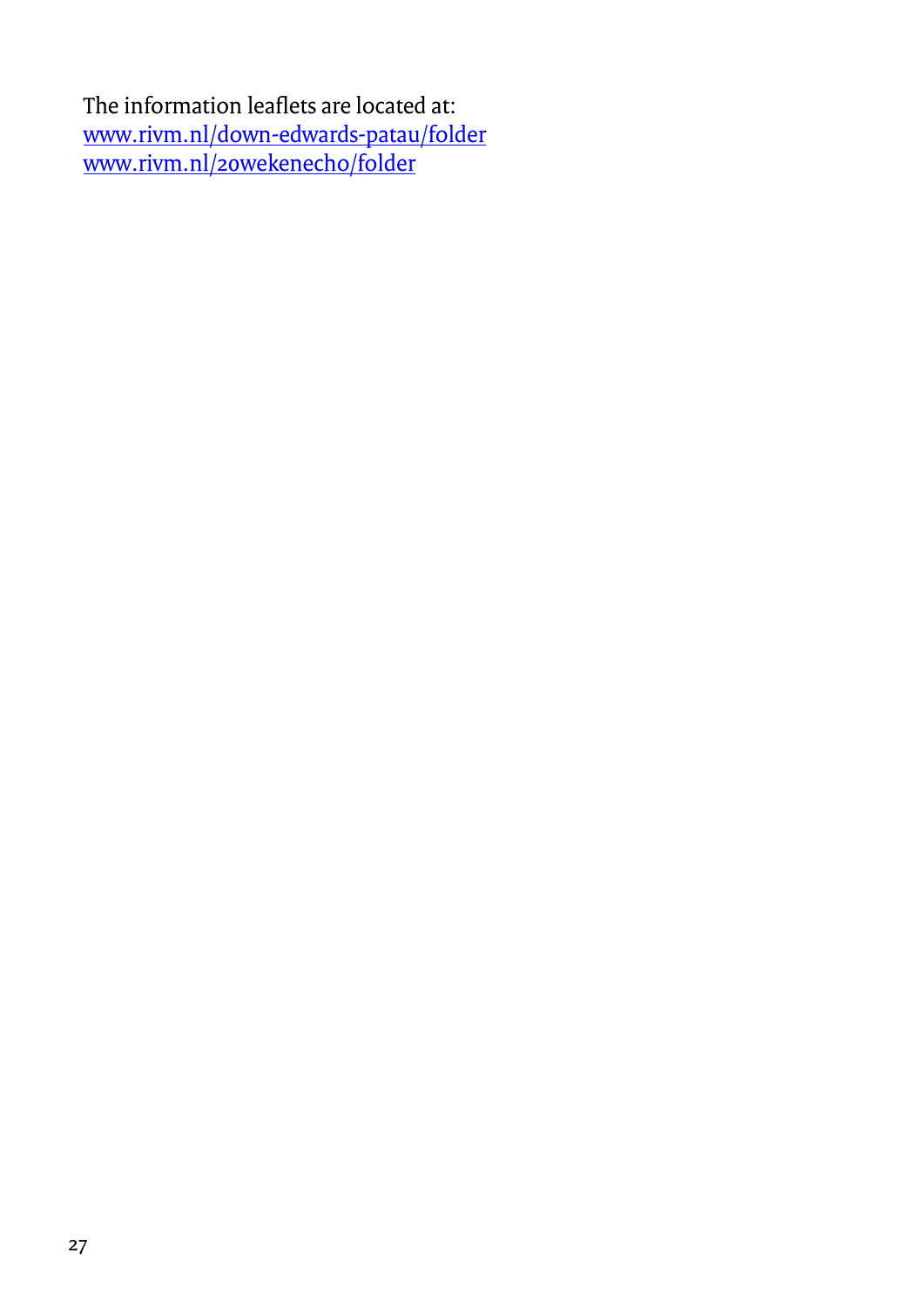The information leaflets are located at: [www.rivm.nl/down-edwards-patau/folder](http://www.rivm.nl/down-edwards-patau/folder) [www.rivm.nl/20wekenecho/folder](http://www.rivm.nl/20wekenecho/folder)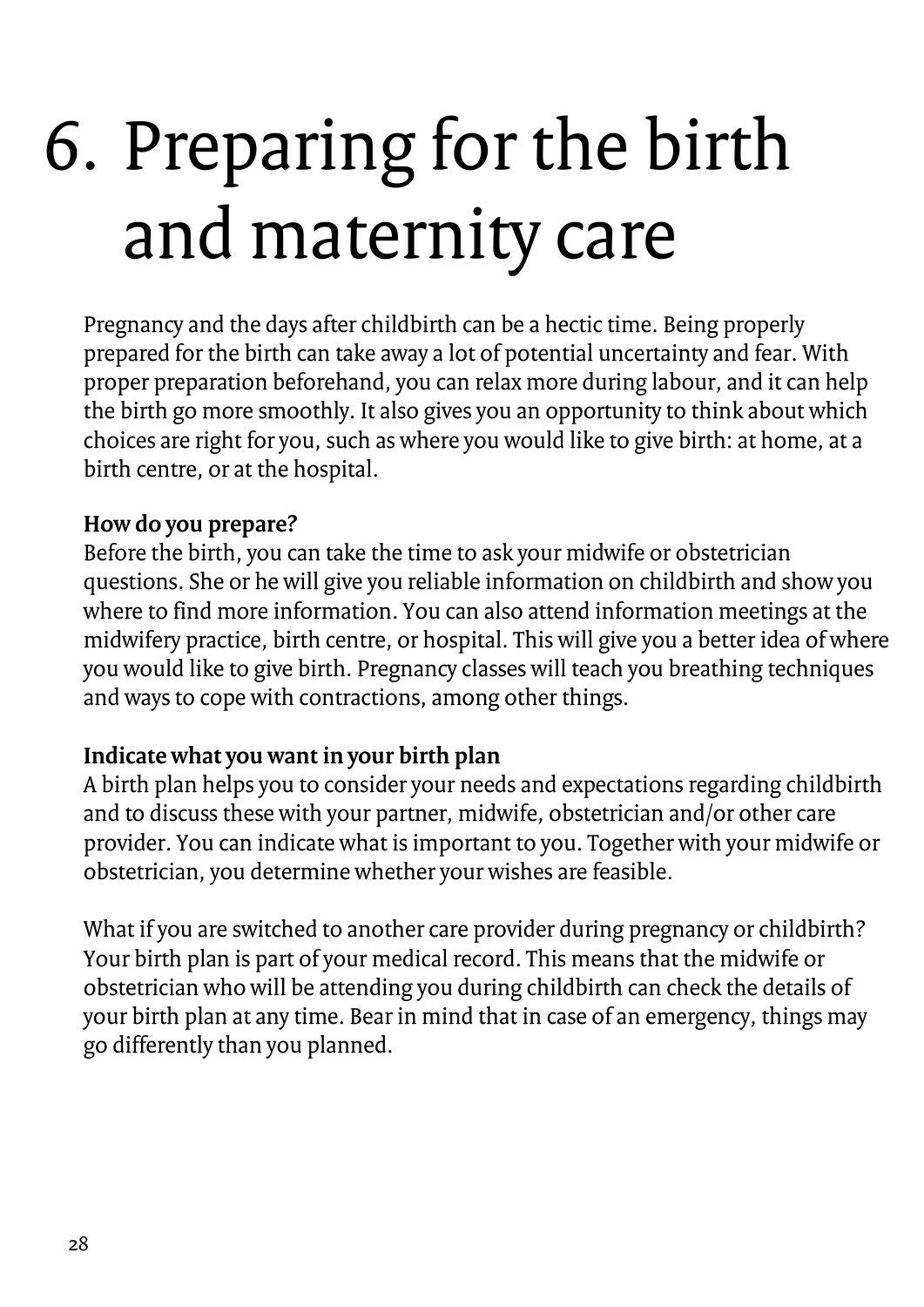## <span id="page-27-0"></span>6. Preparing for the birth and maternity care

Pregnancy and the days after childbirth can be a hectic time. Being properly prepared for the birth can take away a lot of potential uncertainty and fear. With proper preparation beforehand, you can relax more during labour, and it can help the birth go more smoothly. It also gives you an opportunity to think about which choices are right for you, such as where you would like to give birth: at home, at a birth centre, or at the hospital.

### **How do you prepare?**

Before the birth, you can take the time to ask your midwife or obstetrician questions. She or he will give you reliable information on childbirth and show you where to find more information. You can also attend information meetings at the midwifery practice, birth centre, or hospital. This will give you a better idea of where you would like to give birth. Pregnancy classes will teach you breathing techniques and ways to cope with contractions, among other things.

### **Indicate what you want in your birth plan**

A birth plan helps you to consider your needs and expectations regarding childbirth and to discuss these with your partner, midwife, obstetrician and/or other care provider. You can indicate what is important to you. Together with your midwife or obstetrician, you determine whether your wishes are feasible.

What if you are switched to another care provider during pregnancy or childbirth? Your birth plan is part of your medical record. This means that the midwife or obstetrician who will be attending you during childbirth can check the details of your birth plan at any time. Bear in mind that in case of an emergency, things may go differently than you planned.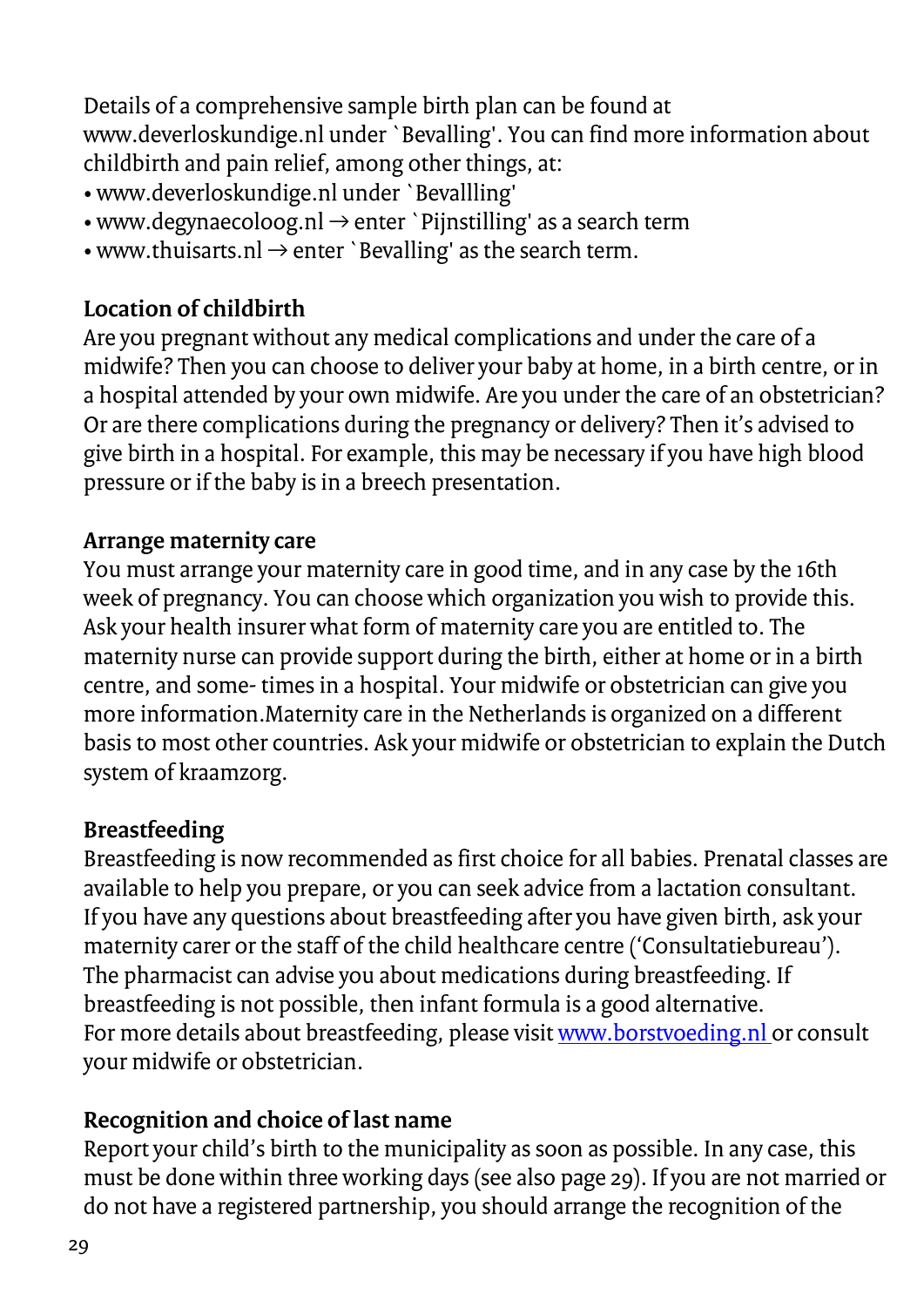Details of a comprehensive sample birth plan can be found at www.deverloskundige.nl under `Bevalling'. You can find more information about childbirth and pain relief, among other things, at:

- www.deverloskundige.nl under `Bevallling'
- www.degynaecoloog.nl  $\rightarrow$  enter `Pijnstilling' as a search term
- www.thuisarts.nl  $\rightarrow$  enter `Bevalling' as the search term.

### **Location of childbirth**

Are you pregnant without any medical complications and under the care of a midwife? Then you can choose to deliver your baby at home, in a birth centre, or in a hospital attended by your own midwife. Are you under the care of an obstetrician? Or are there complications during the pregnancy or delivery? Then it's advised to give birth in a hospital. For example, this may be necessary if you have high blood pressure or if the baby is in a breech presentation.

### **Arrange maternity care**

You must arrange your maternity care in good time, and in any case by the 16th week of pregnancy. You can choose which organization you wish to provide this. Ask your health insurer what form of maternity care you are entitled to. The maternity nurse can provide support during the birth, either at home or in a birth centre, and some- times in a hospital. Your midwife or obstetrician can give you more information.Maternity care in the Netherlands is organized on a different basis to most other countries. Ask your midwife or obstetrician to explain the Dutch system of kraamzorg.

### **Breastfeeding**

Breastfeeding is now recommended as first choice for all babies. Prenatal classes are available to help you prepare, or you can seek advice from a lactation consultant. If you have any questions about breastfeeding after you have given birth, ask your maternity carer or the staff of the child healthcare centre ('Consultatiebureau'). The pharmacist can advise you about medications during breastfeeding. If breastfeeding is not possible, then infant formula is a good alternative. For more details about breastfeeding, please visi[t www.borstvoeding.nl o](http://www.borstvoeding.nl/)r consult your midwife or obstetrician.

### **Recognition and choice of last name**

Report your child's birth to the municipality as soon as possible. In any case, this must be done within three working days (see also page 29). If you are not married or do not have a registered partnership, you should arrange the recognition of the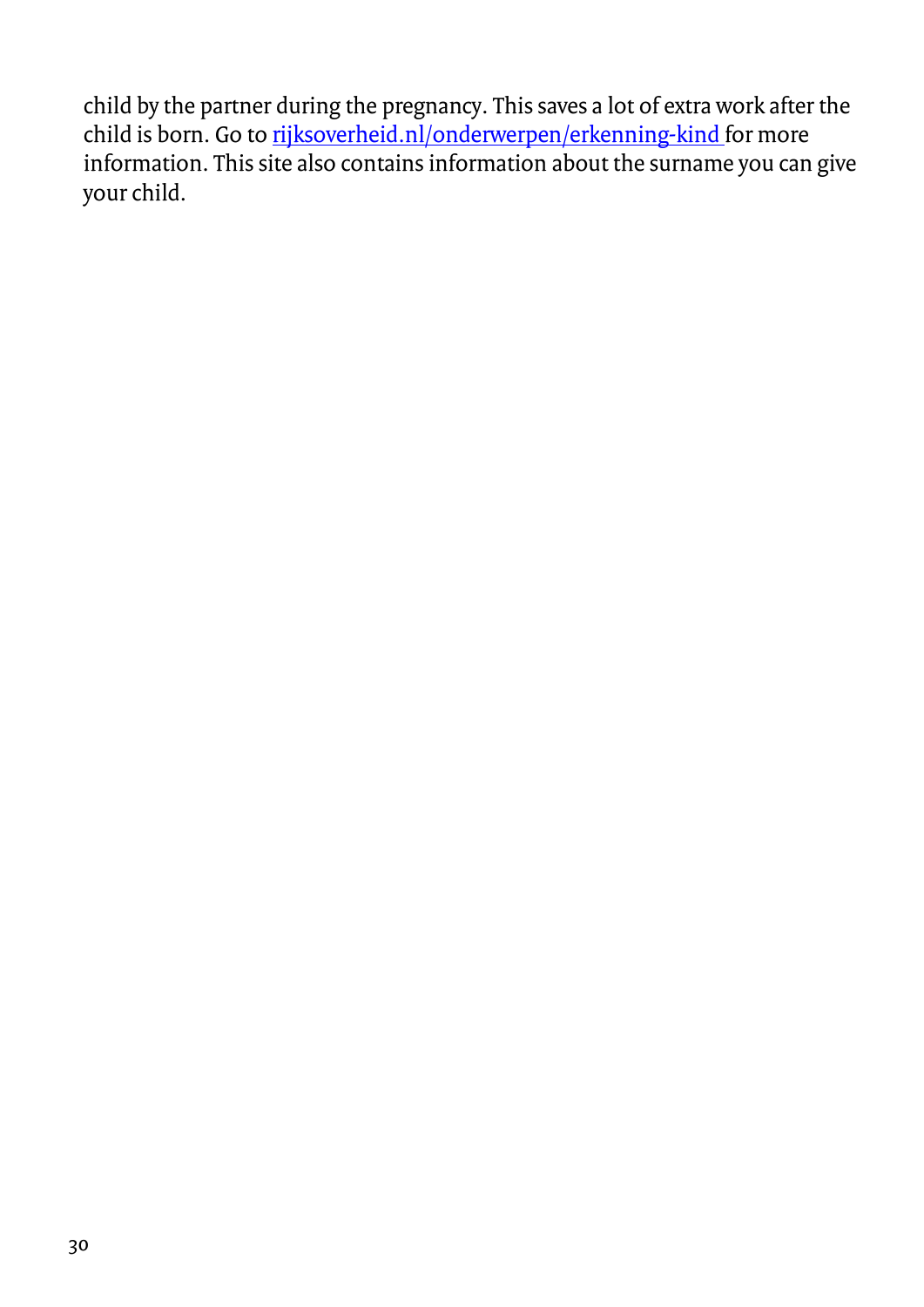child by the partner during the pregnancy. This saves a lot of extra work after the child is born. Go to [rijksoverheid.nl/onderwerpen/erkenning-kind f](http://rijksoverheid.nl/onderwerpen/erkenning-kind)or more information. This site also contains information about the surname you can give your child.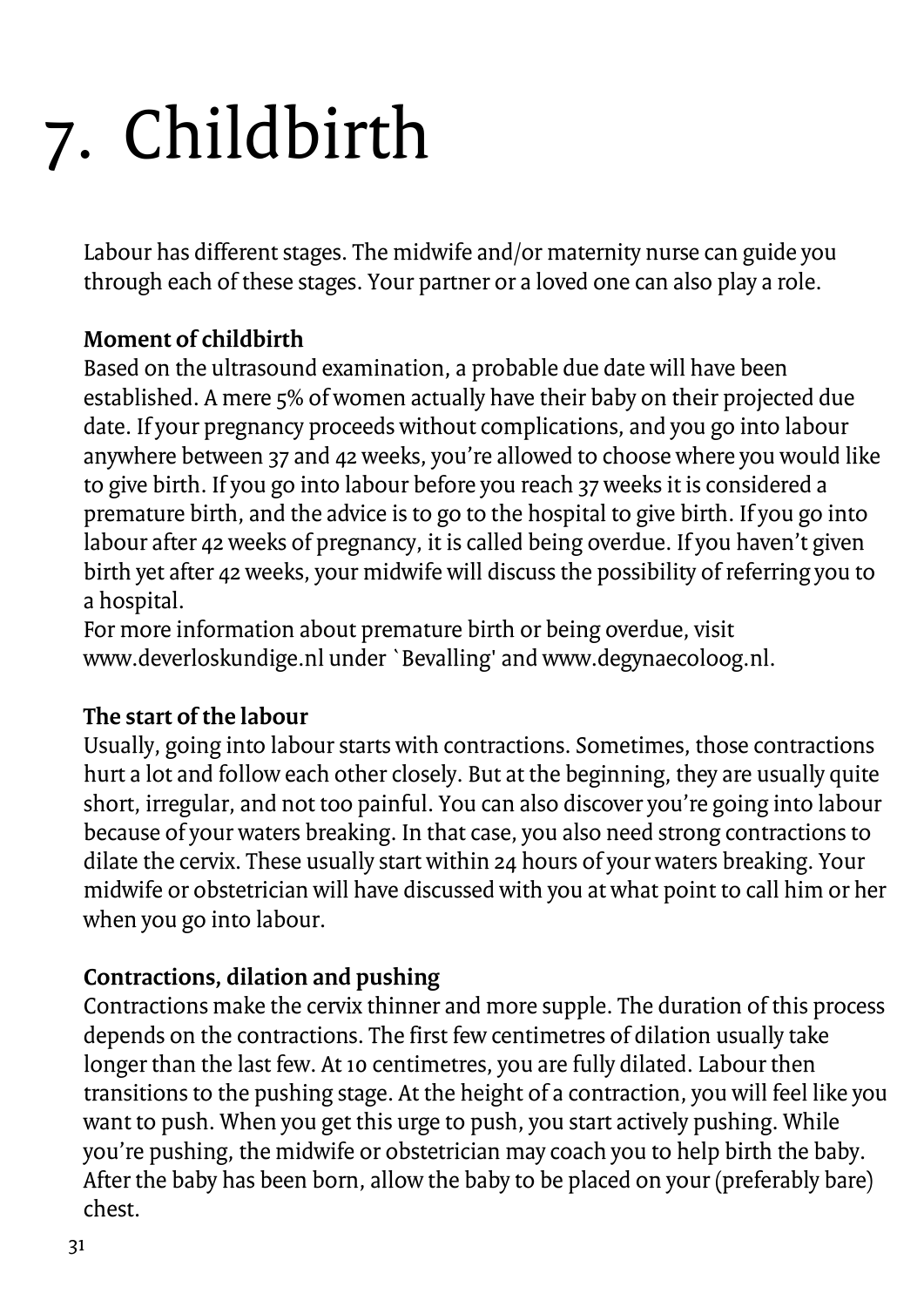# <span id="page-30-0"></span>7. Childbirth

Labour has different stages. The midwife and/or maternity nurse can guide you through each of these stages. Your partner or a loved one can also play a role.

### **Moment of childbirth**

Based on the ultrasound examination, a probable due date will have been established. A mere 5% of women actually have their baby on their projected due date. If your pregnancy proceeds without complications, and you go into labour anywhere between 37 and 42 weeks, you're allowed to choose where you would like to give birth. If you go into labour before you reach 37 weeks it is considered a premature birth, and the advice is to go to the hospital to give birth. If you go into labour after 42 weeks of pregnancy, it is called being overdue. If you haven't given birth yet after 42 weeks, your midwife will discuss the possibility of referring you to a hospital.

For more information about premature birth or being overdue, visit www.deverloskundige.nl under `Bevalling' and www.degynaecoloog.nl.

### **The start of the labour**

Usually, going into labour starts with contractions. Sometimes, those contractions hurt a lot and follow each other closely. But at the beginning, they are usually quite short, irregular, and not too painful. You can also discover you're going into labour because of your waters breaking. In that case, you also need strong contractions to dilate the cervix. These usually start within 24 hours of your waters breaking. Your midwife or obstetrician will have discussed with you at what point to call him or her when you go into labour.

### **Contractions, dilation and pushing**

Contractions make the cervix thinner and more supple. The duration of this process depends on the contractions. The first few centimetres of dilation usually take longer than the last few. At 10 centimetres, you are fully dilated. Labour then transitions to the pushing stage. At the height of a contraction, you will feel like you want to push. When you get this urge to push, you start actively pushing. While you're pushing, the midwife or obstetrician may coach you to help birth the baby. After the baby has been born, allow the baby to be placed on your (preferably bare) chest.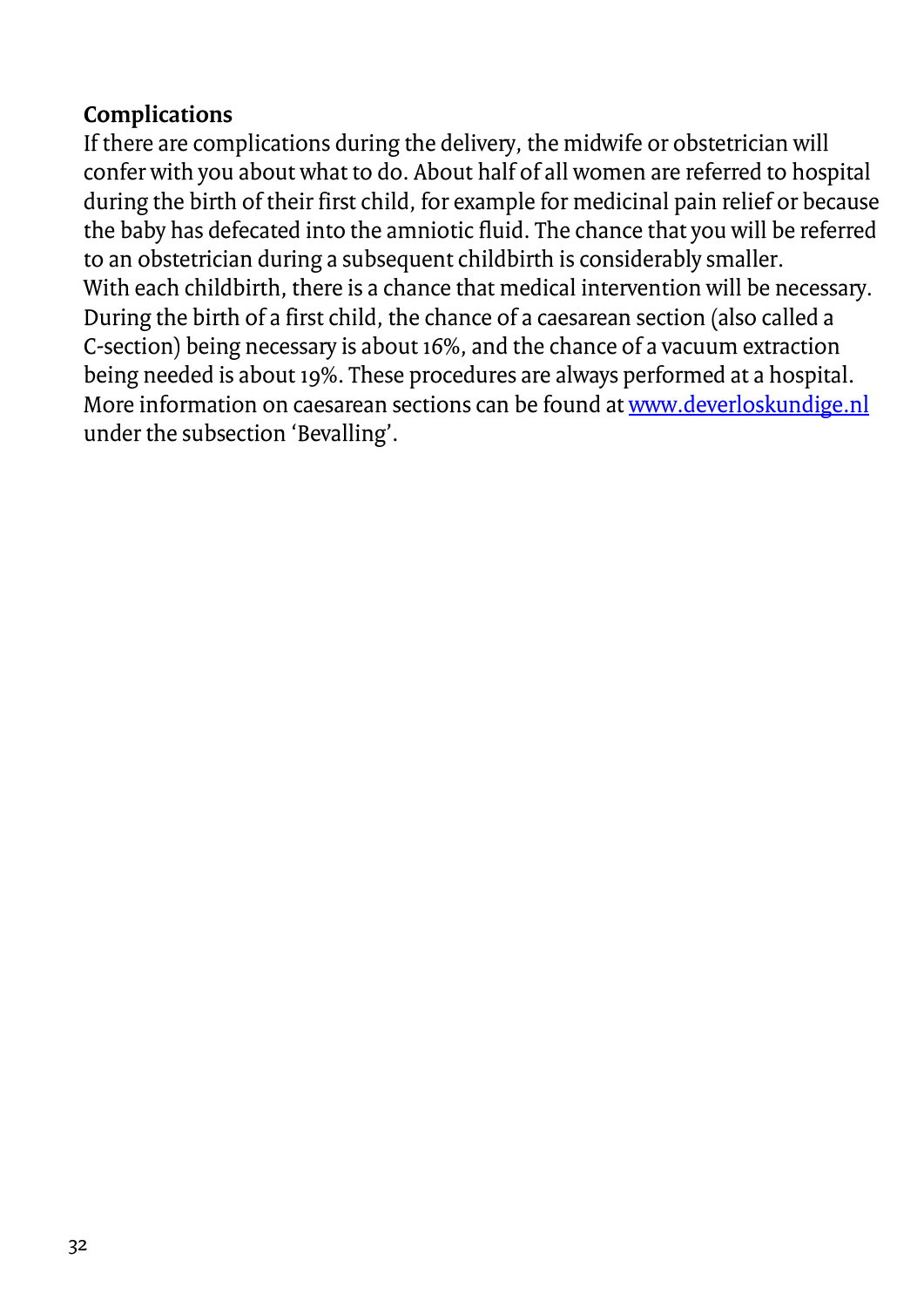### **Complications**

If there are complications during the delivery, the midwife or obstetrician will confer with you about what to do. About half of all women are referred to hospital during the birth of their first child, for example for medicinal pain relief or because the baby has defecated into the amniotic fluid. The chance that you will be referred to an obstetrician during a subsequent childbirth is considerably smaller. With each childbirth, there is a chance that medical intervention will be necessary. During the birth of a first child, the chance of a caesarean section (also called a C-section) being necessary is about 16%, and the chance of a vacuum extraction being needed is about 19%. These procedures are always performed at a hospital. More information on caesarean sections can be found a[t www.deverloskundige.nl](http://www.deverloskundige.nl/) under the subsection 'Bevalling'.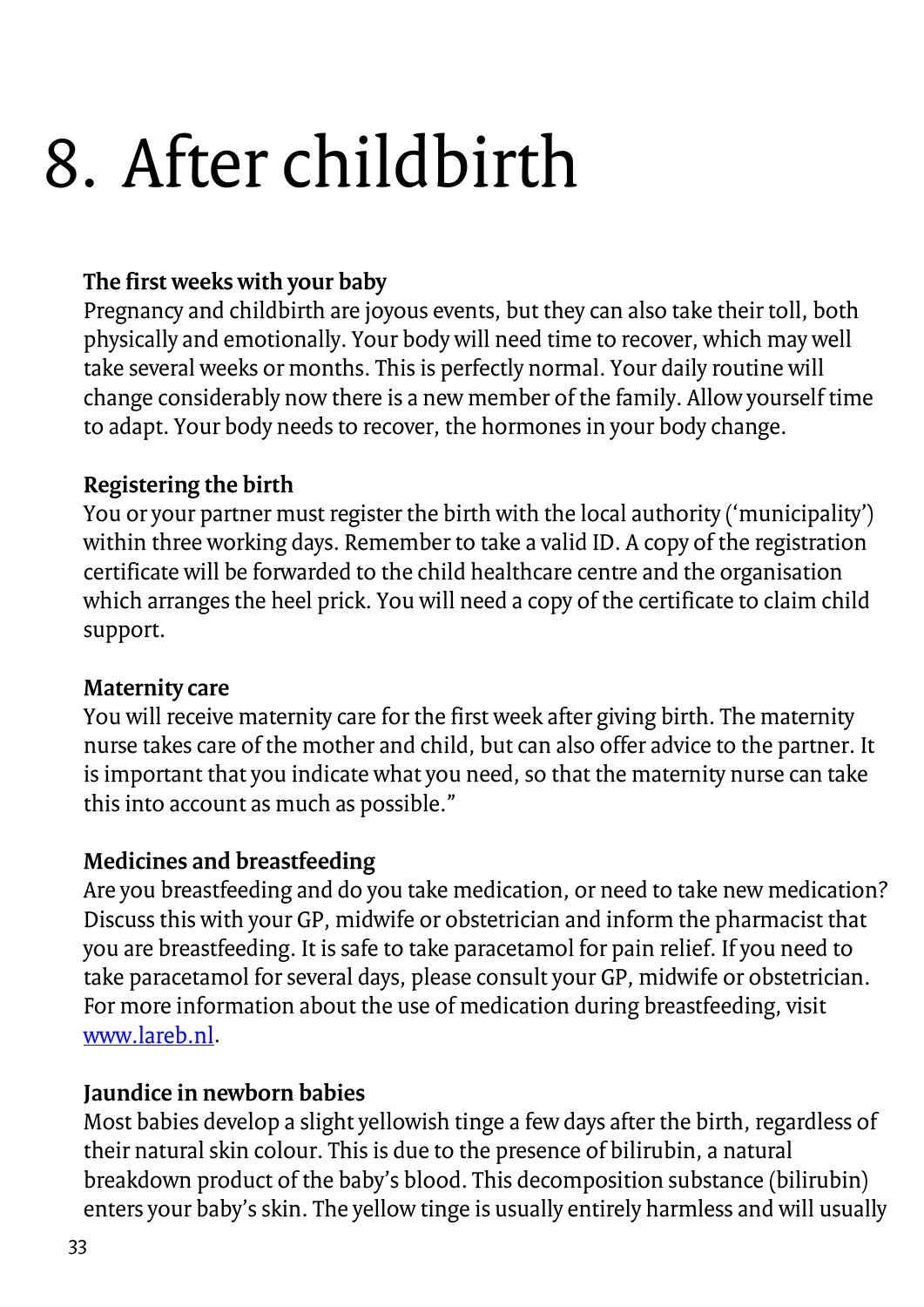### <span id="page-32-0"></span>8. After childbirth

### **The first weeks with your baby**

Pregnancy and childbirth are joyous events, but they can also take their toll, both physically and emotionally. Your body will need time to recover, which may well take several weeks or months. This is perfectly normal. Your daily routine will change considerably now there is a new member of the family. Allow yourself time to adapt. Your body needs to recover, the hormones in your body change.

### **Registering the birth**

You or your partner must register the birth with the local authority ('municipality') within three working days. Remember to take a valid ID. A copy of the registration certificate will be forwarded to the child healthcare centre and the organisation which arranges the heel prick. You will need a copy of the certificate to claim child support.

### **Maternity care**

You will receive maternity care for the first week after giving birth. The maternity nurse takes care of the mother and child, but can also offer advice to the partner. It is important that you indicate what you need, so that the maternity nurse can take this into account as much as possible."

### **Medicines and breastfeeding**

Are you breastfeeding and do you take medication, or need to take new medication? Discuss this with your GP, midwife or obstetrician and inform the pharmacist that you are breastfeeding. It is safe to take paracetamol for pain relief. If you need to take paracetamol for several days, please consult your GP, midwife or obstetrician. For more information about the use of medication during breastfeeding, visit [www.lareb.nl.](http://www.lareb.nl/)

### **Jaundice in newborn babies**

Most babies develop a slight yellowish tinge a few days after the birth, regardless of their natural skin colour. This is due to the presence of bilirubin, a natural breakdown product of the baby's blood. This decomposition substance (bilirubin) enters your baby's skin. The yellow tinge is usually entirely harmless and will usually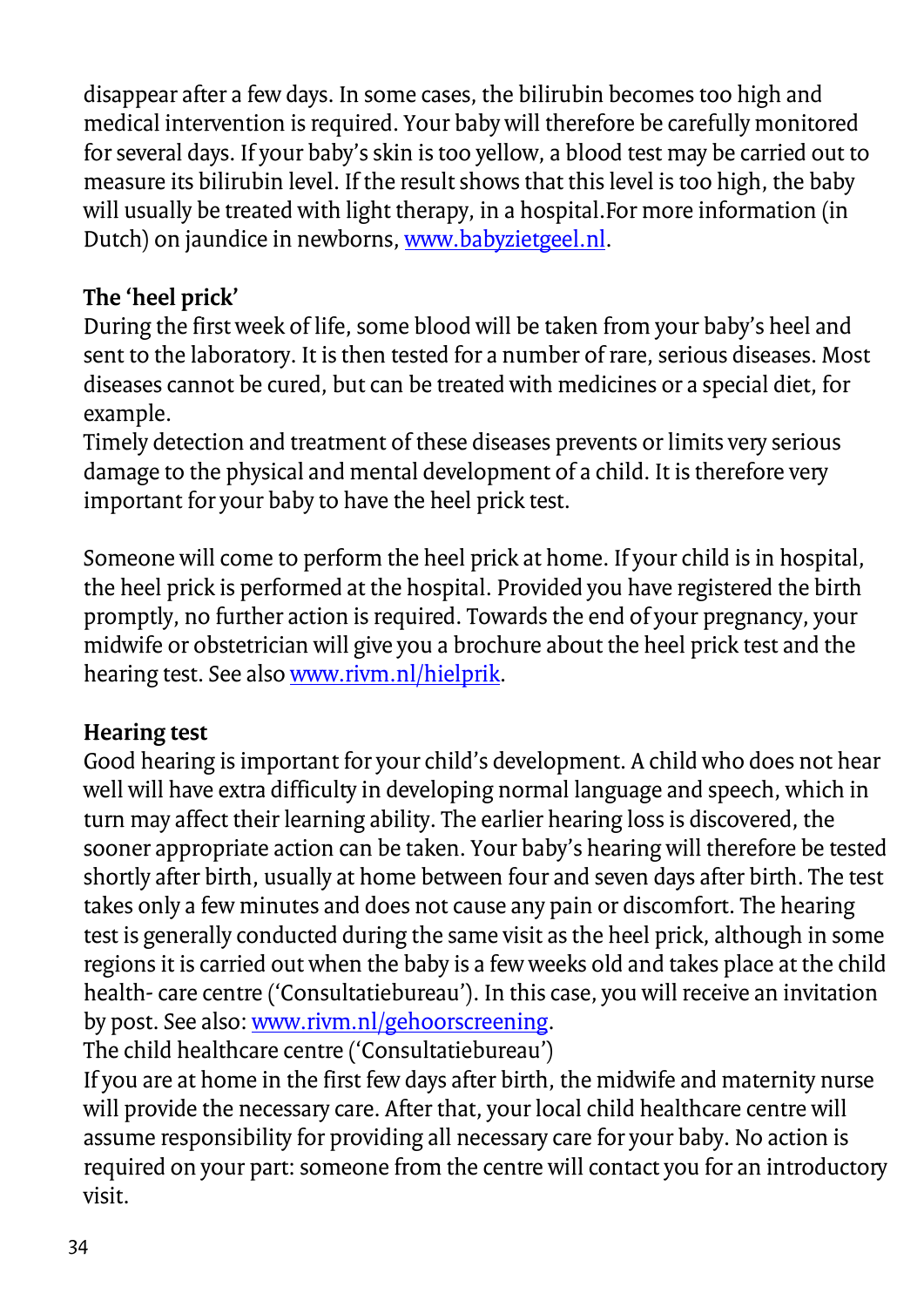disappear after a few days. In some cases, the bilirubin becomes too high and medical intervention is required. Your baby will therefore be carefully monitored for several days. If your baby's skin is too yellow, a blood test may be carried out to measure its bilirubin level. If the result shows that this level is too high, the baby will usually be treated with light therapy, in a hospital.For more information (in Dutch) on jaundice in newborns[, www.babyzietgeel.nl.](http://www.babyzietgeel.nl/)

### **The 'heel prick'**

During the first week of life, some blood will be taken from your baby's heel and sent to the laboratory. It is then tested for a number of rare, serious diseases. Most diseases cannot be cured, but can be treated with medicines or a special diet, for example.

Timely detection and treatment of these diseases prevents or limits very serious damage to the physical and mental development of a child. It is therefore very important for your baby to have the heel prick test.

Someone will come to perform the heel prick at home. If your child is in hospital, the heel prick is performed at the hospital. Provided you have registered the birth promptly, no further action is required. Towards the end of your pregnancy, your midwife or obstetrician will give you a brochure about the heel prick test and the hearing test. See als[o www.rivm.nl/hielprik.](http://www.rivm.nl/hielprik)

### **Hearing test**

Good hearing is important for your child's development. A child who does not hear well will have extra difficulty in developing normal language and speech, which in turn may affect their learning ability. The earlier hearing loss is discovered, the sooner appropriate action can be taken. Your baby's hearing will therefore be tested shortly after birth, usually at home between four and seven days after birth. The test takes only a few minutes and does not cause any pain or discomfort. The hearing test is generally conducted during the same visit as the heel prick, although in some regions it is carried out when the baby is a few weeks old and takes place at the child health- care centre ('Consultatiebureau'). In this case, you will receive an invitation by post. See also[: www.rivm.nl/gehoorscreening.](http://www.rivm.nl/gehoorscreening)

The child healthcare centre ('Consultatiebureau')

If you are at home in the first few days after birth, the midwife and maternity nurse will provide the necessary care. After that, your local child healthcare centre will assume responsibility for providing all necessary care for your baby. No action is required on your part: someone from the centre will contact you for an introductory visit.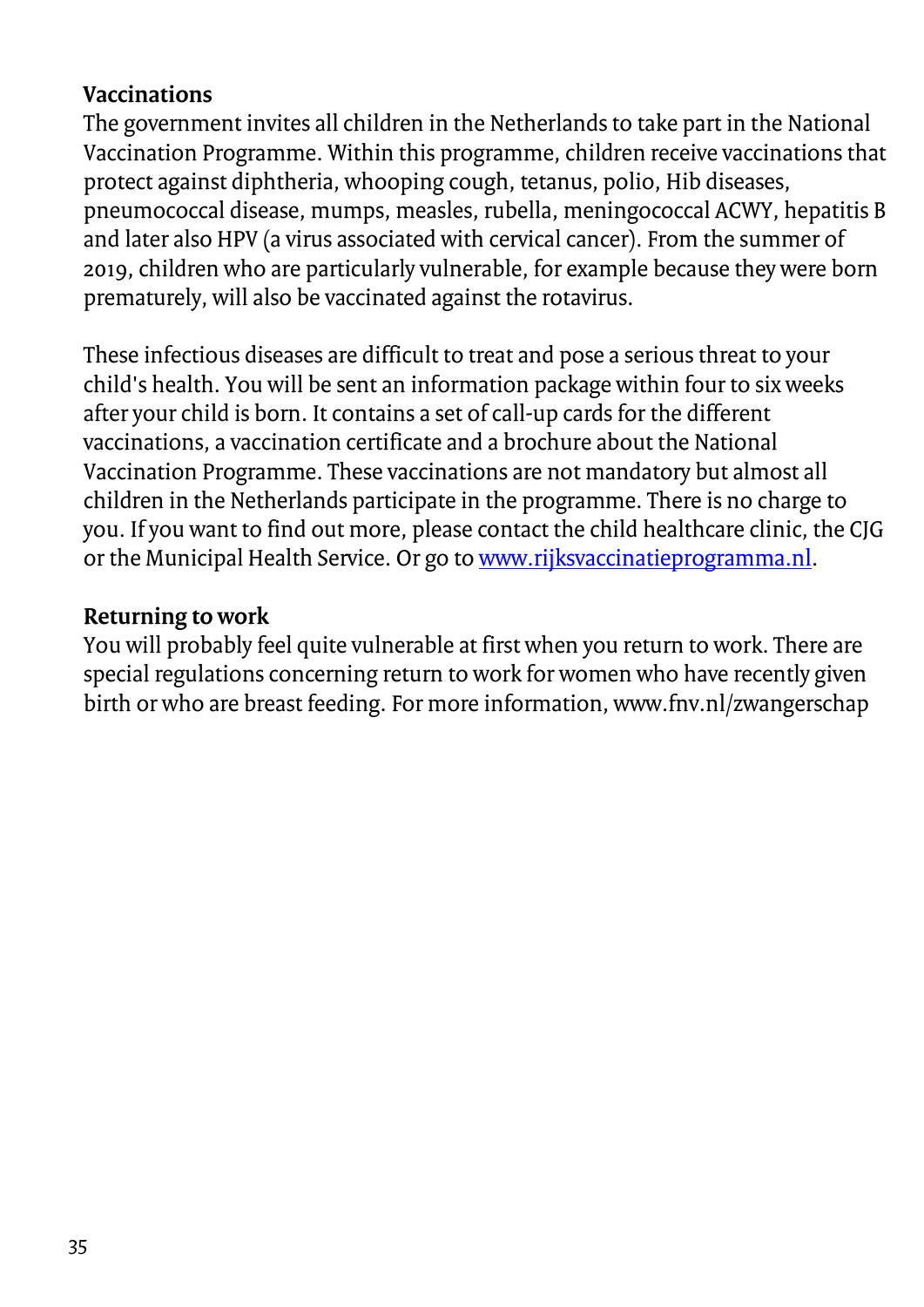### **Vaccinations**

The government invites all children in the Netherlands to take part in the National Vaccination Programme. Within this programme, children receive vaccinations that protect against diphtheria, whooping cough, tetanus, polio, Hib diseases, pneumococcal disease, mumps, measles, rubella, meningococcal ACWY, hepatitis B and later also HPV (a virus associated with cervical cancer). From the summer of 2019, children who are particularly vulnerable, for example because they were born prematurely, will also be vaccinated against the rotavirus.

These infectious diseases are difficult to treat and pose a serious threat to your child's health. You will be sent an information package within four to six weeks after your child is born. It contains a set of call-up cards for the different vaccinations, a vaccination certificate and a brochure about the National Vaccination Programme. These vaccinations are not mandatory but almost all children in the Netherlands participate in the programme. There is no charge to you. If you want to find out more, please contact the child healthcare clinic, the CJG or the Municipal Health Service. Or go t[o www.rijksvaccinatieprogramma.nl.](http://www.rijksvaccinatieprogramma.nl/)

### **Returning to work**

You will probably feel quite vulnerable at first when you return to work. There are special regulations concerning return to work for women who have recently given birth or who are breast feeding. For more information, www.fnv.nl/zwangerschap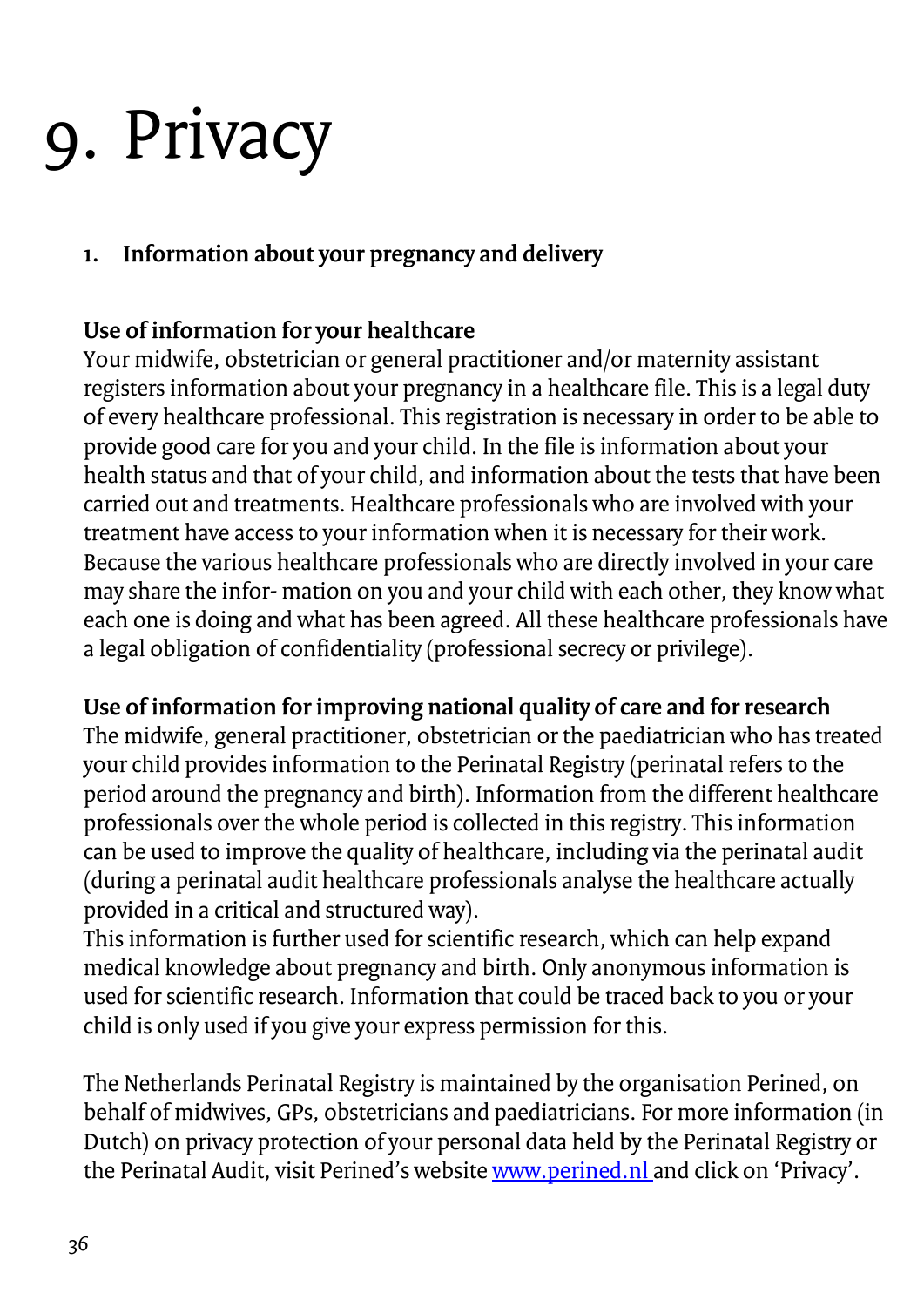### <span id="page-35-0"></span>9. Privacy

### **1. Information about your pregnancy and delivery**

### **Use of information for your healthcare**

Your midwife, obstetrician or general practitioner and/or maternity assistant registers information about your pregnancy in a healthcare file. This is a legal duty of every healthcare professional. This registration is necessary in order to be able to provide good care for you and your child. In the file is information about your health status and that of your child, and information about the tests that have been carried out and treatments. Healthcare professionals who are involved with your treatment have access to your information when it is necessary for their work. Because the various healthcare professionals who are directly involved in your care may share the infor- mation on you and your child with each other, they know what each one is doing and what has been agreed. All these healthcare professionals have a legal obligation of confidentiality (professional secrecy or privilege).

### **Use of information for improving national quality of care and for research**

The midwife, general practitioner, obstetrician or the paediatrician who has treated your child provides information to the Perinatal Registry (perinatal refers to the period around the pregnancy and birth). Information from the different healthcare professionals over the whole period is collected in this registry. This information can be used to improve the quality of healthcare, including via the perinatal audit (during a perinatal audit healthcare professionals analyse the healthcare actually provided in a critical and structured way).

This information is further used for scientific research, which can help expand medical knowledge about pregnancy and birth. Only anonymous information is used for scientific research. Information that could be traced back to you or your child is only used if you give your express permission for this.

The Netherlands Perinatal Registry is maintained by the organisation Perined, on behalf of midwives, GPs, obstetricians and paediatricians. For more information (in Dutch) on privacy protection of your personal data held by the Perinatal Registry or the Perinatal Audit, visit Perined's websit[e www.perined.nl a](http://www.perined.nl/)nd click on 'Privacy'.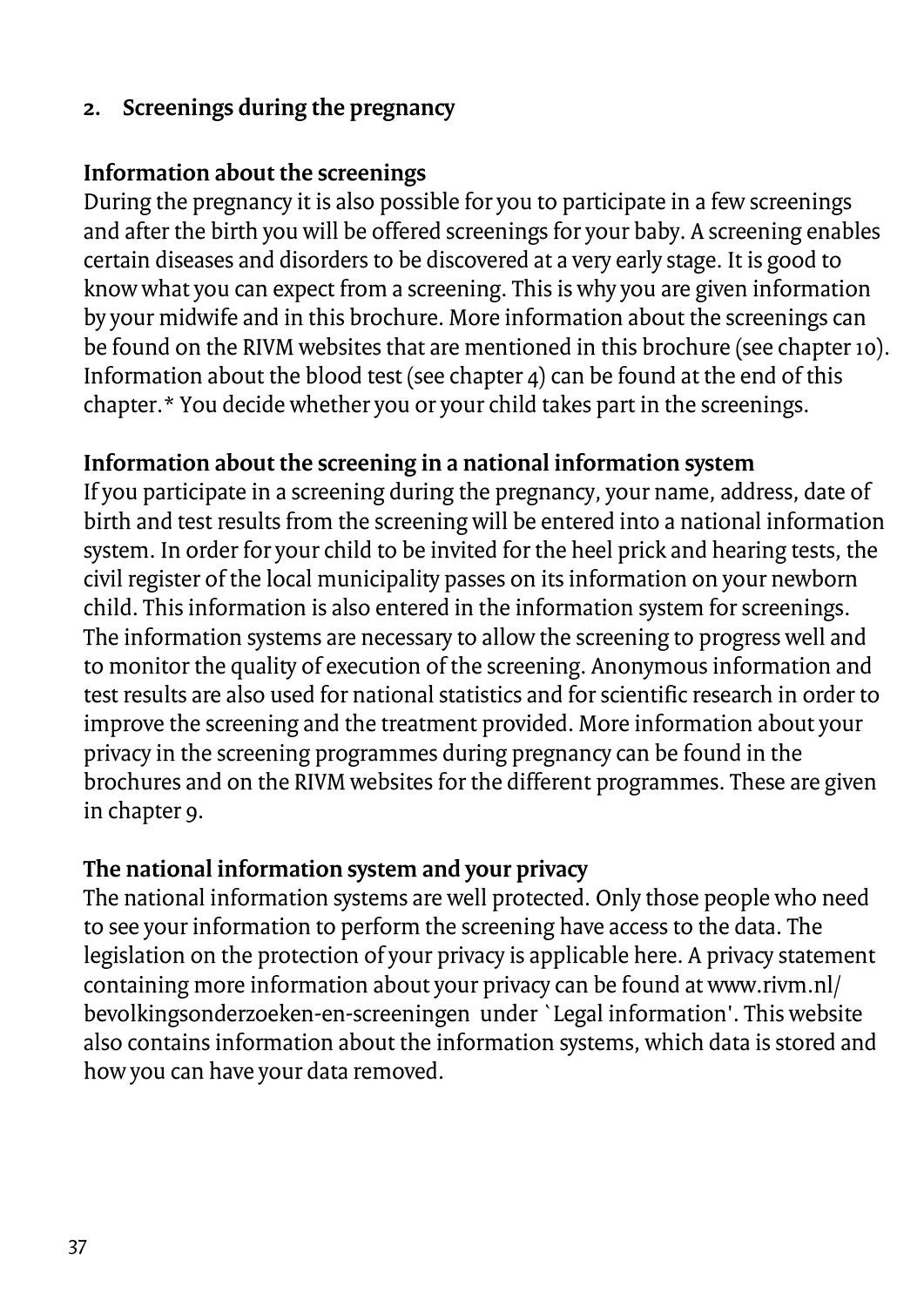### **2. Screenings during the pregnancy**

### **Information about the screenings**

During the pregnancy it is also possible for you to participate in a few screenings and after the birth you will be offered screenings for your baby. A screening enables certain diseases and disorders to be discovered at a very early stage. It is good to know what you can expect from a screening. This is why you are given information by your midwife and in this brochure. More information about the screenings can be found on the RIVM websites that are mentioned in this brochure (see chapter 10). Information about the blood test (see chapter 4) can be found at the end of this chapter.\* You decide whether you or your child takes part in the screenings.

### **Information about the screening in a national information system**

If you participate in a screening during the pregnancy, your name, address, date of birth and test results from the screening will be entered into a national information system. In order for your child to be invited for the heel prick and hearing tests, the civil register of the local municipality passes on its information on your newborn child. This information is also entered in the information system for screenings. The information systems are necessary to allow the screening to progress well and to monitor the quality of execution of the screening. Anonymous information and test results are also used for national statistics and for scientific research in order to improve the screening and the treatment provided. More information about your privacy in the screening programmes during pregnancy can be found in the brochures and on the RIVM websites for the different programmes. These are given in chapter 9.

### **The national information system and your privacy**

The national information systems are well protected. Only those people who need to see your information to perform the screening have access to the data. The legislation on the protection of your privacy is applicable here. A privacy statement containing more information about your privacy can be found at www.rivm.nl/ bevolkingsonderzoeken-en-screeningen under `Legal information'. This website also contains information about the information systems, which data is stored and how you can have your data removed.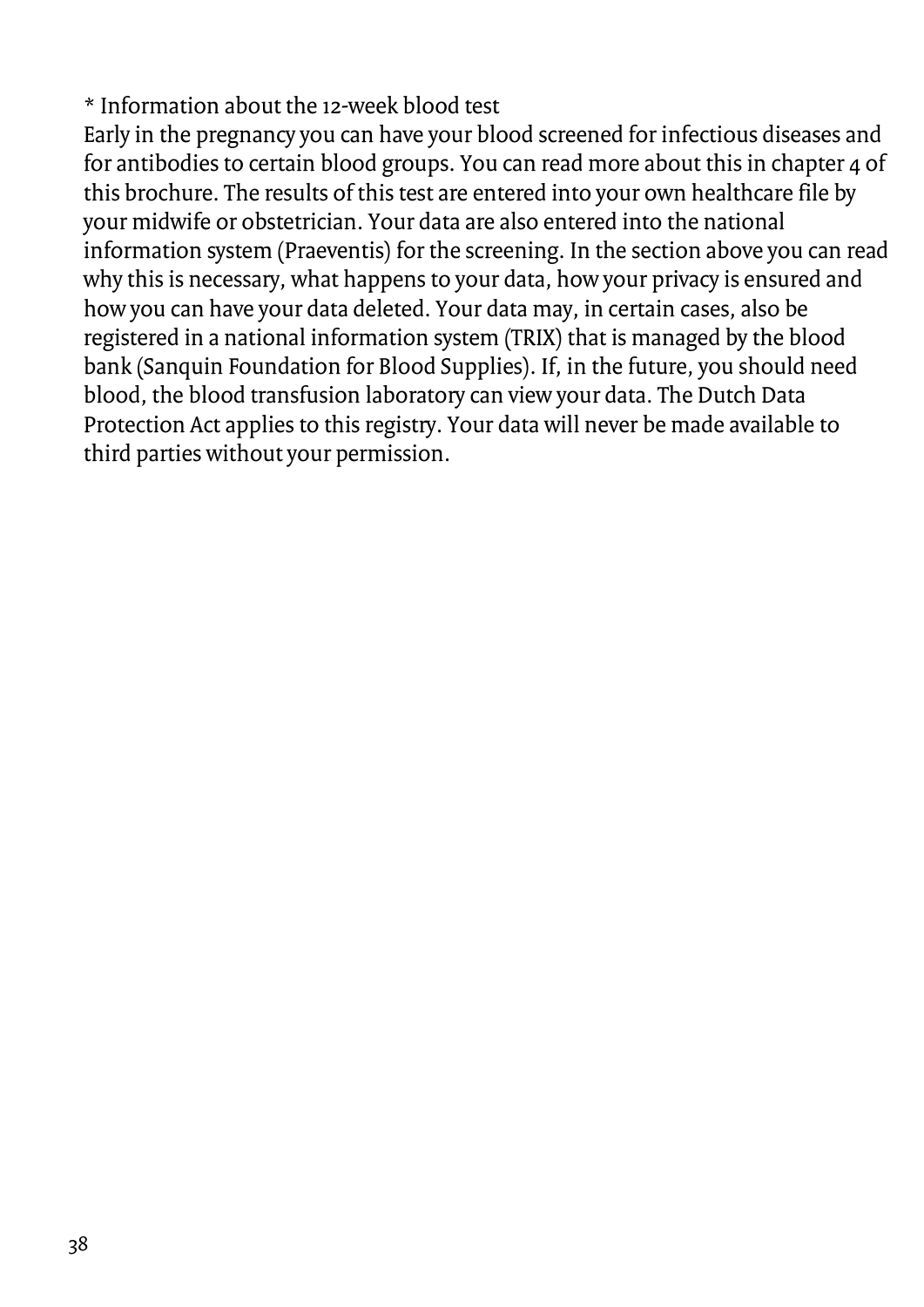\* Information about the 12-week blood test

Early in the pregnancy you can have your blood screened for infectious diseases and for antibodies to certain blood groups. You can read more about this in chapter 4 of this brochure. The results of this test are entered into your own healthcare file by your midwife or obstetrician. Your data are also entered into the national information system (Praeventis) for the screening. In the section above you can read why this is necessary, what happens to your data, how your privacy is ensured and how you can have your data deleted. Your data may, in certain cases, also be registered in a national information system (TRIX) that is managed by the blood bank (Sanquin Foundation for Blood Supplies). If, in the future, you should need blood, the blood transfusion laboratory can view your data. The Dutch Data Protection Act applies to this registry. Your data will never be made available to third parties without your permission.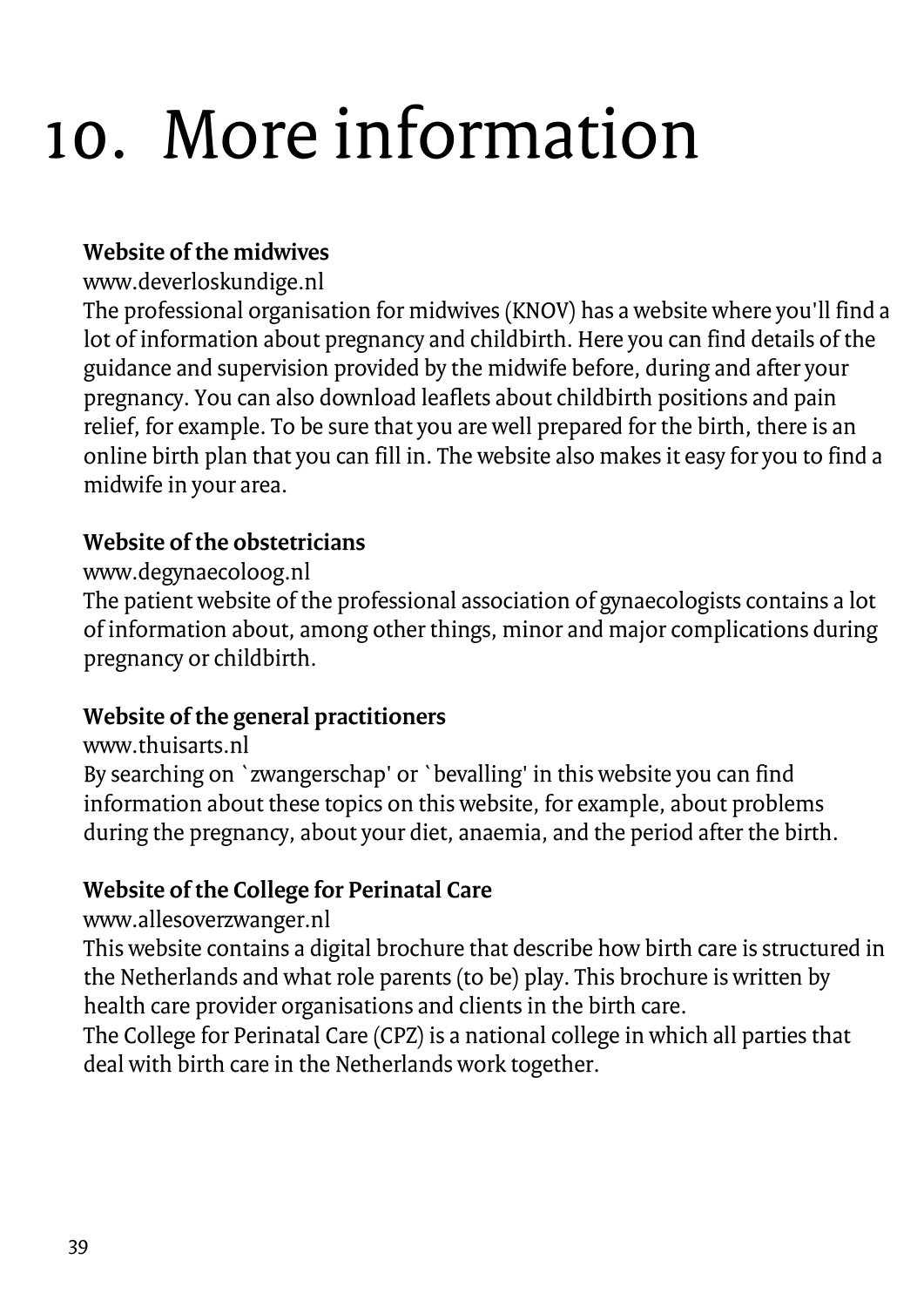### <span id="page-38-0"></span>10. More information

### **Website of the midwives**

#### www.deverloskundige.nl

The professional organisation for midwives (KNOV) has a website where you'll find a lot of information about pregnancy and childbirth. Here you can find details of the guidance and supervision provided by the midwife before, during and after your pregnancy. You can also download leaflets about childbirth positions and pain relief, for example. To be sure that you are well prepared for the birth, there is an online birth plan that you can fill in. The website also makes it easy for you to find a midwife in your area.

### **Website of the obstetricians**

### www.degynaecoloog.nl

The patient website of the professional association of gynaecologists contains a lot of information about, among other things, minor and major complications during pregnancy or childbirth.

### **Website of the general practitioners**

#### www.thuisarts.nl

By searching on `zwangerschap' or `bevalling' in this website you can find information about these topics on this website, for example, about problems during the pregnancy, about your diet, anaemia, and the period after the birth.

### **Website of the College for Perinatal Care**

www.allesoverzwanger.nl

This website contains a digital brochure that describe how birth care is structured in the Netherlands and what role parents (to be) play. This brochure is written by health care provider organisations and clients in the birth care.

The College for Perinatal Care (CPZ) is a national college in which all parties that deal with birth care in the Netherlands work together.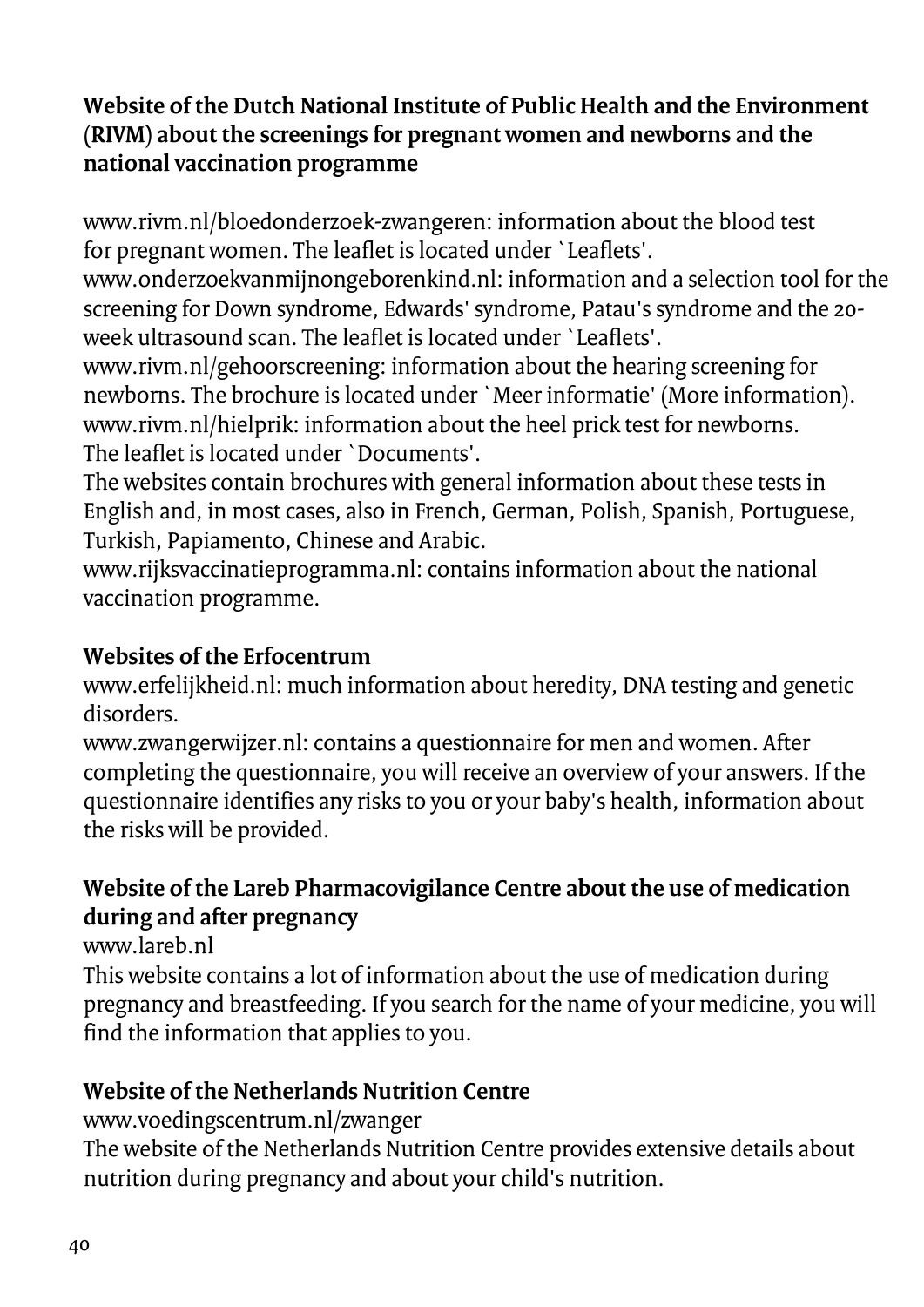### **Website of the Dutch National Institute of Public Health and the Environment (RIVM) about the screenings for pregnant women and newborns and the national vaccination programme**

www.rivm.nl/bloedonderzoek-zwangeren: information about the blood test for pregnant women. The leaflet is located under `Leaflets'.

www.onderzoekvanmijnongeborenkind.nl: information and a selection tool for the screening for Down syndrome, Edwards' syndrome, Patau's syndrome and the 20 week ultrasound scan. The leaflet is located under `Leaflets'.

www.rivm.nl/gehoorscreening: information about the hearing screening for newborns. The brochure is located under `Meer informatie' (More information). www.rivm.nl/hielprik: information about the heel prick test for newborns. The leaflet is located under `Documents'.

The websites contain brochures with general information about these tests in English and, in most cases, also in French, German, Polish, Spanish, Portuguese, Turkish, Papiamento, Chinese and Arabic.

www.rijksvaccinatieprogramma.nl: contains information about the national vaccination programme.

### **Websites of the Erfocentrum**

www.erfelijkheid.nl: much information about heredity, DNA testing and genetic disorders.

www.zwangerwijzer.nl: contains a questionnaire for men and women. After completing the questionnaire, you will receive an overview of your answers. If the questionnaire identifies any risks to you or your baby's health, information about the risks will be provided.

### **Website of the Lareb Pharmacovigilance Centre about the use of medication during and after pregnancy**

www.lareb.nl

This website contains a lot of information about the use of medication during pregnancy and breastfeeding. If you search for the name of your medicine, you will find the information that applies to you.

### **Website of the Netherlands Nutrition Centre**

www.voedingscentrum.nl/zwanger

The website of the Netherlands Nutrition Centre provides extensive details about nutrition during pregnancy and about your child's nutrition.